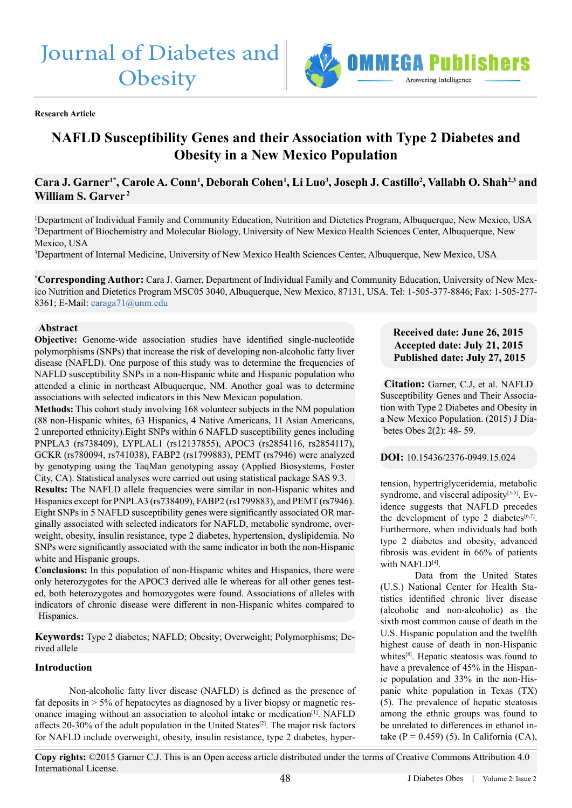# Journal of Diabetes and **Obesity**



**Research Article**

# **NAFLD Susceptibility Genes and their Association with Type 2 Diabetes and Obesity in a New Mexico Population**

# $\bf{C}$ ara J. Garner<sup>1\*</sup>, Carole A. Conn<sup>1</sup>, Deborah Cohen<sup>1</sup>, Li Luo<sup>3</sup>, Joseph J. Castillo<sup>2</sup>, Vallabh O. Shah<sup>2,3</sup> and **William S. Garver 2**

1 Department of Individual Family and Community Education, Nutrition and Dietetics Program, Albuquerque, New Mexico, USA 2 Department of Biochemistry and Molecular Biology, University of New Mexico Health Sciences Center, Albuquerque, New Mexico, USA

3 Department of Internal Medicine, University of New Mexico Health Sciences Center, Albuquerque, New Mexico, USA

**\* Corresponding Author:** Cara J. Garner, Department of Individual Family and Community Education, University of New Mexico Nutrition and Dietetics Program MSC05 3040, Albuquerque, New Mexico, 87131, USA. Tel: 1-505-377-8846; Fax: 1-505-277- 8361; E-Mail: [caraga71@unm.edu](mailto:caraga71%40unm.edu?subject=)

#### **Abstract**

**Objective:** Genome-wide association studies have identified single-nucleotide polymorphisms (SNPs) that increase the risk of developing non-alcoholic fatty liver disease (NAFLD). One purpose of this study was to determine the frequencies of NAFLD susceptibility SNPs in a non-Hispanic white and Hispanic population who attended a clinic in northeast Albuquerque, NM. Another goal was to determine associations with selected indicators in this New Mexican population.

**Methods:** This cohort study involving 168 volunteer subjects in the NM population (88 non-Hispanic whites, 63 Hispanics, 4 Native Americans, 11 Asian Americans, 2 unreported ethnicity).Eight SNPs within 6 NAFLD susceptibility genes including PNPLA3 (rs738409), LYPLAL1 (rs12137855), APOC3 (rs2854116, rs2854117), GCKR (rs780094, rs741038), FABP2 (rs1799883), PEMT (rs7946) were analyzed by genotyping using the TaqMan genotyping assay (Applied Biosystems, Foster City, CA). Statistical analyses were carried out using statistical package SAS 9.3.

**Results:** The NAFLD allele frequencies were similar in non-Hispanic whites and Hispanics except for PNPLA3 (rs738409), FABP2 (rs1799883), and PEMT (rs7946). Eight SNPs in 5 NAFLD susceptibility genes were significantly associated OR marginally associated with selected indicators for NAFLD, metabolic syndrome, overweight, obesity, insulin resistance, type 2 diabetes, hypertension, dyslipidemia. No SNPs were significantly associated with the same indicator in both the non-Hispanic white and Hispanic groups.

**Conclusions:** In this population of non-Hispanic whites and Hispanics, there were only heterozygotes for the APOC3 derived alle le whereas for all other genes tested, both heterozygotes and homozygotes were found. Associations of alleles with indicators of chronic disease were different in non-Hispanic whites compared to Hispanics.

**Keywords:** Type 2 diabetes; NAFLD; Obesity; Overweight; Polymorphisms; Derived allele

#### **Introduction**

Non-alcoholic fatty liver disease (NAFLD) is defined as the presence of fat deposits in  $> 5\%$  of hepatocytes as diagnosed by a liver biopsy or magnetic resonance imaging without an association to alcohol intake or medicatio[n\[1\].](#page-11-0) NAFLD affects  $20-30\%$  of the adult population in the United States<sup>[2]</sup>. The major risk factors for NAFLD include overweight, obesity, insulin resistance, type 2 diabetes, hyper-

# **Received date: June 26, 2015 Accepted date: July 21, 2015 Published date: July 27, 2015**

**Citation:** Garner, C.J, et al. NAFLD Susceptibility Genes and Their Association with Type 2 Diabetes and Obesity in a New Mexico Population. (2015) J Diabetes Obes 2(2): 48- 59.

#### **DOI:** 10.15436/2376-0949.15.024

tension, hypertriglyceridemia, metabolic syndrome, and visceral adiposity<sup>[3-5]</sup>. Evidence suggests that NAFLD precedes the development of type 2 diabetes<sup>[6,7]</sup>. Furthermore, when individuals had both type 2 diabetes and obesity, advanced fibrosis was evident in 66% of patients with  $NAFI$   $D[4]$ .

Data from the United States (U.S.) National Center for Health Statistics identified chronic liver disease (alcoholic and non-alcoholic) as the sixth most common cause of death in the U.S. Hispanic population and the twelfth highest cause of death in non-Hispanic white[s\[8\].](#page-11-4) Hepatic steatosis was found to have a prevalence of 45% in the Hispanic population and 33% in the non-Hispanic white population in Texas (TX) (5). The prevalence of hepatic steatosis among the ethnic groups was found to be unrelated to differences in ethanol intake ( $P = 0.459$ ) (5). In California (CA),

**Copy rights:** ©2015 Garner C.J. This is an Open access article distributed under the terms of Creative Commons Attribution 4.0 International License.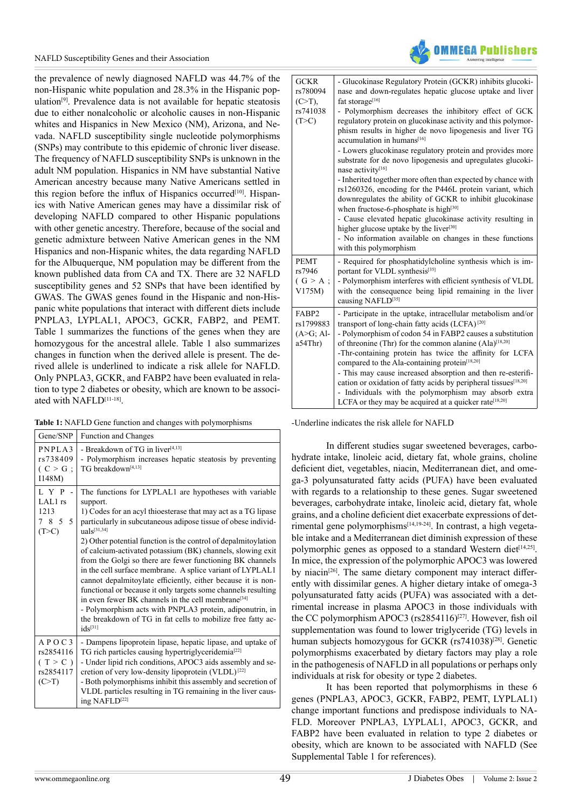the prevalence of newly diagnosed NAFLD was 44.7% of the non-Hispanic white population and 28.3% in the Hispanic population[\[9\].](#page-11-5) Prevalence data is not available for hepatic steatosis due to either nonalcoholic or alcoholic causes in non-Hispanic whites and Hispanics in New Mexico (NM), Arizona, and Nevada. NAFLD susceptibility single nucleotide polymorphisms (SNPs) may contribute to this epidemic of chronic liver disease. The frequency of NAFLD susceptibility SNPs is unknown in the adult NM population. Hispanics in NM have substantial Native American ancestry because many Native Americans settled in this region before the influx of Hispanics occurred<sup>[10]</sup>. Hispanics with Native American genes may have a dissimilar risk of developing NAFLD compared to other Hispanic populations with other genetic ancestry. Therefore, because of the social and genetic admixture between Native American genes in the NM Hispanics and non-Hispanic whites, the data regarding NAFLD for the Albuquerque, NM population may be different from the known published data from CA and TX. There are 32 NAFLD susceptibility genes and 52 SNPs that have been identified by GWAS. The GWAS genes found in the Hispanic and non-Hispanic white populations that interact with different diets include PNPLA3, LYPLAL1, APOC3, GCKR, FABP2, and PEMT. Table 1 summarizes the functions of the genes when they are homozygous for the ancestral allele. Table 1 also summarizes changes in function when the derived allele is present. The derived allele is underlined to indicate a risk allele for NAFLD. Only PNPLA3, GCKR, and FABP2 have been evaluated in relation to type 2 diabetes or obesity, which are known to be associated with NAFLD[\[11-18\]](#page-11-7).

**Table 1:** NAFLD Gene function and changes with polymorphisms

| Gene/SNP                                            | Function and Changes                                                                                                                                                                                                                                                                                                                                                                                                                                                                                                                                                                                                                                                                                                                                                                                                                       |
|-----------------------------------------------------|--------------------------------------------------------------------------------------------------------------------------------------------------------------------------------------------------------------------------------------------------------------------------------------------------------------------------------------------------------------------------------------------------------------------------------------------------------------------------------------------------------------------------------------------------------------------------------------------------------------------------------------------------------------------------------------------------------------------------------------------------------------------------------------------------------------------------------------------|
| PNPLA3<br>rs738409<br>(C > G ;<br>I148M             | - Breakdown of TG in liver <sup>[4,13]</sup><br>- Polymorphism increases hepatic steatosis by preventing<br>TG breakdown <sup>[4,13]</sup>                                                                                                                                                                                                                                                                                                                                                                                                                                                                                                                                                                                                                                                                                                 |
| LYP-<br>LAL1 rs<br>1213<br>7 8 5 5<br>(T>C)         | The functions for LYPLAL1 are hypotheses with variable<br>support.<br>1) Codes for an acyl thioesterase that may act as a TG lipase<br>particularly in subcutaneous adipose tissue of obese individ-<br>$u$ als <sup>[31,34]</sup><br>2) Other potential function is the control of depalmitoviation<br>of calcium-activated potassium (BK) channels, slowing exit<br>from the Golgi so there are fewer functioning BK channels<br>in the cell surface membrane. A splice variant of LYPLAL1<br>cannot depalmitoylate efficiently, either because it is non-<br>functional or because it only targets some channels resulting<br>in even fewer BK channels in the cell membrane <sup>[34]</sup><br>- Polymorphism acts with PNPLA3 protein, adiponutrin, in<br>the breakdown of TG in fat cells to mobilize free fatty ac-<br>$ids^{[31]}$ |
| APOC3<br>rs2854116<br>(T > C)<br>rs2854117<br>(C>T) | - Dampens lipoprotein lipase, hepatic lipase, and uptake of<br>TG rich particles causing hypertriglyceridemia <sup>[22]</sup><br>- Under lipid rich conditions, APOC3 aids assembly and se-<br>cretion of very low-density lipoprotein (VLDL) <sup>[22]</sup><br>- Both polymorphisms inhibit this assembly and secretion of<br>VLDL particles resulting in TG remaining in the liver caus-<br>ing NAFLD[22]                                                                                                                                                                                                                                                                                                                                                                                                                               |



| <b>GCKR</b><br>rs780094<br>(C>T),<br>rs741038<br>(T>C) | - Glucokinase Regulatory Protein (GCKR) inhibits glucoki-<br>nase and down-regulates hepatic glucose uptake and liver<br>fat storage[16]<br>- Polymorphism decreases the inhibitory effect of GCK<br>regulatory protein on glucokinase activity and this polymor-<br>phism results in higher de novo lipogenesis and liver TG<br>accumulation in humans <sup>[16]</sup><br>- Lowers glucokinase regulatory protein and provides more<br>substrate for de novo lipogenesis and upregulates glucoki-<br>nase activity[16]<br>- Inherited together more often than expected by chance with<br>rs1260326, encoding for the P446L protein variant, which<br>downregulates the ability of GCKR to inhibit glucokinase<br>when fructose-6-phosphate is high <sup>[30]</sup><br>- Cause elevated hepatic glucokinase activity resulting in<br>higher glucose uptake by the liver <sup>[30]</sup><br>- No information available on changes in these functions<br>with this polymorphism |
|--------------------------------------------------------|--------------------------------------------------------------------------------------------------------------------------------------------------------------------------------------------------------------------------------------------------------------------------------------------------------------------------------------------------------------------------------------------------------------------------------------------------------------------------------------------------------------------------------------------------------------------------------------------------------------------------------------------------------------------------------------------------------------------------------------------------------------------------------------------------------------------------------------------------------------------------------------------------------------------------------------------------------------------------------|
| <b>PEMT</b><br>rs7946<br>(G > A;<br>V175M              | - Required for phosphatidylcholine synthesis which is im-<br>portant for VLDL synthesis <sup>[35]</sup><br>- Polymorphism interferes with efficient synthesis of VLDL<br>with the consequence being lipid remaining in the liver<br>causing NAFLD[35]                                                                                                                                                                                                                                                                                                                                                                                                                                                                                                                                                                                                                                                                                                                          |
| FABP2<br>rs1799883<br>$(A>G; Al-)$<br>$a54Thr$ )       | - Participate in the uptake, intracellular metabolism and/or<br>transport of long-chain fatty acids (LCFA) <sup>[20]</sup><br>- Polymorphism of codon 54 in FABP2 causes a substitution<br>of threonine (Thr) for the common alanine $(AIa)^{[18,20]}$<br>-Thr-containing protein has twice the affinity for LCFA<br>compared to the Ala-containing protein[18,20]<br>- This may cause increased absorption and then re-esterifi-<br>cation or oxidation of fatty acids by peripheral tissues <sup>[18,20]</sup><br>- Individuals with the polymorphism may absorb extra<br>LCFA or they may be acquired at a quicker rate <sup>[18,20]</sup>                                                                                                                                                                                                                                                                                                                                  |

-Underline indicates the risk allele for NAFLD

In different studies sugar sweetened beverages, carbohydrate intake, linoleic acid, dietary fat, whole grains, choline deficient diet, vegetables, niacin, Mediterranean diet, and omega-3 polyunsaturated fatty acids (PUFA) have been evaluated with regards to a relationship to these genes. Sugar sweetened beverages, carbohydrate intake, linoleic acid, dietary fat, whole grains, and a choline deficient diet exacerbate expressions of detrimental gene polymorphisms[\[14,19-24\]](#page-11-8). In contrast, a high vegetable intake and a Mediterranean diet diminish expression of these polymorphic genes as opposed to a standard Western diet $[14,25]$ . In mice, the expression of the polymorphic APOC3 was lowered by niacin<sup>[\[26\]](#page-11-9)</sup>. The same dietary component may interact differently with dissimilar genes. A higher dietary intake of omega-3 polyunsaturated fatty acids (PUFA) was associated with a detrimental increase in plasma APOC3 in those individuals with the CC polymorphism APOC3 (rs2854116)<sup>[27]</sup>. However, fish oil supplementation was found to lower triglyceride (TG) levels in human subjects homozygous for GCKR (rs741038)<sup>[28]</sup>. Genetic polymorphisms exacerbated by dietary factors may play a role in the pathogenesis of NAFLD in all populations or perhaps only individuals at risk for obesity or type 2 diabetes.

It has been reported that polymorphisms in these 6 genes (PNPLA3, APOC3, GCKR, FABP2, PEMT, LYPLAL1) change important functions and predispose individuals to NA-FLD. Moreover PNPLA3, LYPLAL1, APOC3, GCKR, and FABP2 have been evaluated in relation to type 2 diabetes or obesity, which are known to be associated with NAFLD (See Supplemental Table 1 for references).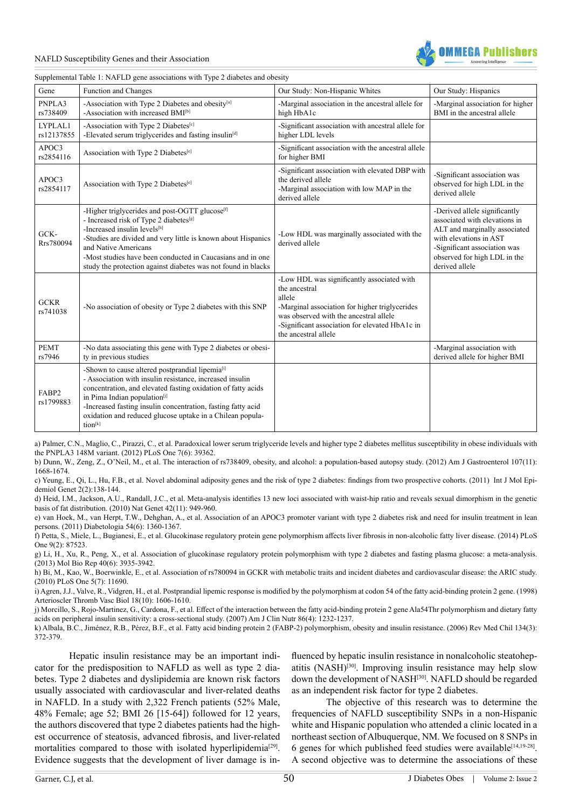



Supplemental Table 1: NAFLD gene associations with Type 2 diabetes and obesity

| Gene                    | Function and Changes                                                                                                                                                                                                                                                                                                                                                        | Our Study: Non-Hispanic Whites                                                                                                                                                                                                              | Our Study: Hispanics                                                                                                                                                                                        |
|-------------------------|-----------------------------------------------------------------------------------------------------------------------------------------------------------------------------------------------------------------------------------------------------------------------------------------------------------------------------------------------------------------------------|---------------------------------------------------------------------------------------------------------------------------------------------------------------------------------------------------------------------------------------------|-------------------------------------------------------------------------------------------------------------------------------------------------------------------------------------------------------------|
| PNPLA3<br>rs738409      | -Association with Type 2 Diabetes and obesity <sup>[a]</sup><br>-Association with increased BMI <sup>[b]</sup>                                                                                                                                                                                                                                                              | -Marginal association in the ancestral allele for<br>high HbA1c                                                                                                                                                                             | -Marginal association for higher<br>BMI in the ancestral allele                                                                                                                                             |
| LYPLAL1<br>rs12137855   | -Association with Type 2 Diabetes[c]<br>-Elevated serum triglycerides and fasting insulin <sup>[d]</sup>                                                                                                                                                                                                                                                                    | -Significant association with ancestral allele for<br>higher LDL levels                                                                                                                                                                     |                                                                                                                                                                                                             |
| APOC3<br>rs2854116      | Association with Type 2 Diabetes <sup>[e]</sup>                                                                                                                                                                                                                                                                                                                             | -Significant association with the ancestral allele<br>for higher BMI                                                                                                                                                                        |                                                                                                                                                                                                             |
| APOC3<br>rs2854117      | Association with Type 2 Diabetes <sup>[e]</sup>                                                                                                                                                                                                                                                                                                                             | -Significant association with elevated DBP with<br>the derived allele<br>-Marginal association with low MAP in the<br>derived allele                                                                                                        | -Significant association was<br>observed for high LDL in the<br>derived allele                                                                                                                              |
| GCK-<br>Rrs780094       | -Higher triglycerides and post-OGTT glucose <sup>[f]</sup><br>- Increased risk of Type 2 diabetes <sup>[g]</sup><br>-Increased insulin levels[h]<br>-Studies are divided and very little is known about Hispanics<br>and Native Americans<br>-Most studies have been conducted in Caucasians and in one<br>study the protection against diabetes was not found in blacks    | -Low HDL was marginally associated with the<br>derived allele                                                                                                                                                                               | -Derived allele significantly<br>associated with elevations in<br>ALT and marginally associated<br>with elevations in AST<br>-Significant association was<br>observed for high LDL in the<br>derived allele |
| <b>GCKR</b><br>rs741038 | -No association of obesity or Type 2 diabetes with this SNP                                                                                                                                                                                                                                                                                                                 | -Low HDL was significantly associated with<br>the ancestral<br>allele<br>-Marginal association for higher triglycerides<br>was observed with the ancestral allele<br>-Significant association for elevated HbA1c in<br>the ancestral allele |                                                                                                                                                                                                             |
| <b>PEMT</b><br>rs7946   | -No data associating this gene with Type 2 diabetes or obesi-<br>ty in previous studies                                                                                                                                                                                                                                                                                     |                                                                                                                                                                                                                                             | -Marginal association with<br>derived allele for higher BMI                                                                                                                                                 |
| FABP2<br>rs1799883      | -Shown to cause altered postprandial lipemia <sup>[i]</sup><br>- Association with insulin resistance, increased insulin<br>concentration, and elevated fasting oxidation of fatty acids<br>in Pima Indian population <sup>[j]</sup><br>-Increased fasting insulin concentration, fasting fatty acid<br>oxidation and reduced glucose uptake in a Chilean popula-<br>tion[k] |                                                                                                                                                                                                                                             |                                                                                                                                                                                                             |

[a\) Palmer, C.N., Maglio, C., Pirazzi, C., et al. Paradoxical lower serum triglyceride levels and higher type 2 diabetes mellitus susceptibility in obese individuals with](http://www.ncbi.nlm.nih.gov/pubmed/22724004) [the PNPLA3 148M variant. \(2012\) PLoS One 7\(6\): 39362.](http://www.ncbi.nlm.nih.gov/pubmed/22724004)

[b\) Dunn, W., Zeng, Z., O'Neil, M., et al. The interaction of rs738409, obesity, and alcohol: a population-based autopsy study. \(2012\) Am J Gastroenterol 107\(11\):](http://www.ncbi.nlm.nih.gov/pubmed/23032985http://) [1668-1674.](http://www.ncbi.nlm.nih.gov/pubmed/23032985http://)

[c\) Yeung, E., Qi, L., Hu, F.B., et al. Novel abdominal adiposity genes and the risk of type 2 diabetes: findings from two prospective cohorts. \(2011\) Int J Mol Epi](http://www.ncbi.nlm.nih.gov/pubmed/21686128)[demiol Genet 2\(2\):138-144.](http://www.ncbi.nlm.nih.gov/pubmed/21686128)

[d\) Heid, I.M., Jackson, A.U., Randall, J.C., et al. Meta-analysis identifies 13 new loci associated with waist-hip ratio and reveals sexual dimorphism in the genetic](http://www.ncbi.nlm.nih.gov/pubmed/20935629) [basis of fat distribution. \(2010\) Nat Genet 42\(11\): 949-960.](http://www.ncbi.nlm.nih.gov/pubmed/20935629)

[e\) van Hoek, M., van Herpt, T.W., Dehghan, A., et al. Association of an APOC3 promoter variant with type 2 diabetes risk and need for insulin treatment in lean](http://www.ncbi.nlm.nih.gov/pubmed/21373834) [persons. \(2011\) Diabetologia 54\(6\): 1360-1367.](http://www.ncbi.nlm.nih.gov/pubmed/21373834) 

[f\) Petta, S., Miele, L., Bugianesi, E., et al. Glucokinase regulatory protein gene polymorphism affects liver fibrosis in non-alcoholic fatty liver disease. \(2014\) PLoS](http://www.ncbi.nlm.nih.gov/pubmed/24498332) [One 9\(2\): 87523.](http://www.ncbi.nlm.nih.gov/pubmed/24498332)

[g\) Li, H., Xu, R., Peng, X., et al. Association of glucokinase regulatory protein polymorphism with type 2 diabetes and fasting plasma glucose: a meta-analysis.](http://www.ncbi.nlm.nih.gov/pubmed/23307301) [\(2013\) Mol Bio Rep 40\(6\): 3935-3942.](http://www.ncbi.nlm.nih.gov/pubmed/23307301)

[h\) Bi, M., Kao, W., Boerwinkle, E., et al. Association of rs780094 in GCKR with metabolic traits and incident diabetes and cardiovascular disease: the ARIC study.](http://www.ncbi.nlm.nih.gov/pubmed/20661421) [\(2010\) PLoS One 5\(7\): 11690.](http://www.ncbi.nlm.nih.gov/pubmed/20661421)

[i\) Agren, J.J., Valve, R., Vidgren, H., et al. Postprandial lipemic response is modified by the polymorphism at codon 54 of the fatty acid-binding protein 2 gene. \(1998\)](http://www.ncbi.nlm.nih.gov/pubmed/9763533) [Arterioscler Thromb Vasc Biol 18\(10\): 1606-1610.](http://www.ncbi.nlm.nih.gov/pubmed/9763533) 

[j\) Morcillo, S., Rojo-Martinez, G., Cardona, F., et al. Effect of the interaction between the fatty acid-binding protein 2 gene Ala54Thr polymorphism and dietary fatty](http://www.ncbi.nlm.nih.gov/pubmed/17921407) [acids on peripheral insulin sensitivity: a cross-sectional study. \(2007\) Am J Clin Nutr 86\(4\): 1232-1237.](http://www.ncbi.nlm.nih.gov/pubmed/17921407)

[k\) Albala, B.C., Jiménez, R.B., Pérez, B.F., et al. Fatty acid binding protein 2 \(FABP-2\) polymorphism, obesity and insulin resistance. \(2006\) Rev Med Chil 134\(3\):](http://www.ncbi.nlm.nih.gov/pubmed/16676113) [372-379.](http://www.ncbi.nlm.nih.gov/pubmed/16676113) 

Hepatic insulin resistance may be an important indicator for the predisposition to NAFLD as well as type 2 diabetes. Type 2 diabetes and dyslipidemia are known risk factors usually associated with cardiovascular and liver-related deaths in NAFLD. In a study with 2,322 French patients (52% Male, 48% Female; age 52; BMI 26 [15-64]) followed for 12 years, the authors discovered that type 2 diabetes patients had the highest occurrence of steatosis, advanced fibrosis, and liver-related mortalities compared to those with isolated hyperlipidemia<sup>[29]</sup>. Evidence suggests that the development of liver damage is influenced by hepatic insulin resistance in nonalcoholic steatohepatitis (NASH)[\[30\].](#page-11-13) Improving insulin resistance may help slow down the development of NASH<sup>[30]</sup>. NAFLD should be regarded as an independent risk factor for type 2 diabetes.

The objective of this research was to determine the frequencies of NAFLD susceptibility SNPs in a non-Hispanic white and Hispanic population who attended a clinic located in a northeast section of Albuquerque, NM. We focused on 8 SNPs in 6 genes for which published feed studies were available<sup>[14,19-28]</sup>. A second objective was to determine the associations of these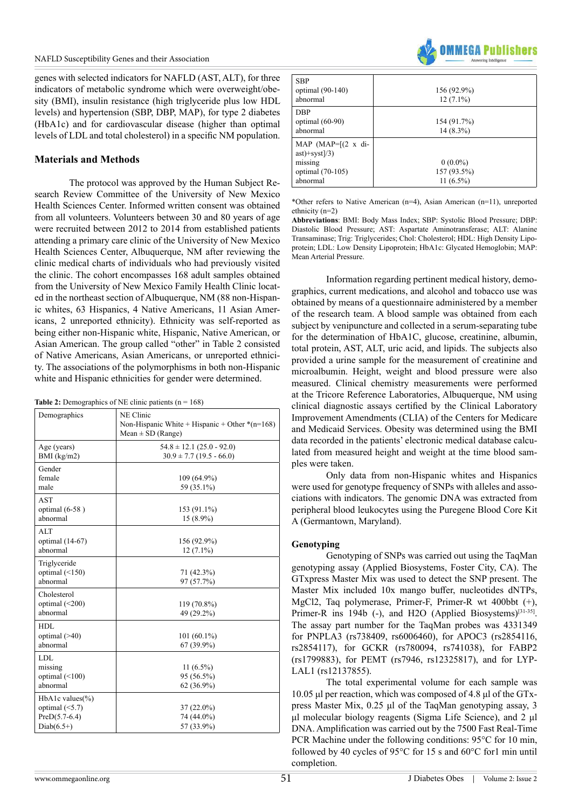genes with selected indicators for NAFLD (AST, ALT), for three indicators of metabolic syndrome which were overweight/obesity (BMI), insulin resistance (high triglyceride plus low HDL levels) and hypertension (SBP, DBP, MAP), for type 2 diabetes (HbA1c) and for cardiovascular disease (higher than optimal levels of LDL and total cholesterol) in a specific NM population.

#### **Materials and Methods**

The protocol was approved by the Human Subject Research Review Committee of the University of New Mexico Health Sciences Center. Informed written consent was obtained from all volunteers. Volunteers between 30 and 80 years of age were recruited between 2012 to 2014 from established patients attending a primary care clinic of the University of New Mexico Health Sciences Center, Albuquerque, NM after reviewing the clinic medical charts of individuals who had previously visited the clinic. The cohort encompasses 168 adult samples obtained from the University of New Mexico Family Health Clinic located in the northeast section of Albuquerque, NM (88 non-Hispanic whites, 63 Hispanics, 4 Native Americans, 11 Asian Americans, 2 unreported ethnicity). Ethnicity was self-reported as being either non-Hispanic white, Hispanic, Native American, or Asian American. The group called "other" in Table 2 consisted of Native Americans, Asian Americans, or unreported ethnicity. The associations of the polymorphisms in both non-Hispanic white and Hispanic ethnicities for gender were determined.

| Demographics                                                               | NE Clinic<br>Non-Hispanic White + Hispanic + Other $*(n=168)$<br>Mean $\pm$ SD (Range) |
|----------------------------------------------------------------------------|----------------------------------------------------------------------------------------|
| Age (years)<br>BMI $(kg/m2)$                                               | $54.8 \pm 12.1$ (25.0 - 92.0)<br>$30.9 \pm 7.7$ (19.5 - 66.0)                          |
| Gender<br>female<br>male                                                   | 109 (64.9%)<br>59 (35.1%)                                                              |
| <b>AST</b><br>optimal $(6-58)$<br>abnormal                                 | 153 (91.1%)<br>$15(8.9\%)$                                                             |
| <b>ALT</b><br>optimal (14-67)<br>abnormal                                  | 156 (92.9%)<br>$12(7.1\%)$                                                             |
| Triglyceride<br>optimal $(\leq 150)$<br>abnormal                           | 71 (42.3%)<br>97 (57.7%)                                                               |
| Cholesterol<br>optimal $(<200)$<br>abnormal                                | 119 (70.8%)<br>49 (29.2%)                                                              |
| HDL<br>optimal $($ >40)<br>abnormal                                        | $101(60.1\%)$<br>67 (39.9%)                                                            |
| <b>LDL</b><br>missing<br>optimal $(\leq 100)$<br>abnormal                  | 11 $(6.5\%)$<br>95 (56.5%)<br>62 (36.9%)                                               |
| HbA1c values(%)<br>optimal $(\leq 5.7)$<br>$PreD(5.7-6.4)$<br>$Diab(6.5+)$ | $37(22.0\%)$<br>74 (44.0%)<br>57 (33.9%)                                               |

**Table 2:** Demographics of NE clinic patients  $(n = 168)$ 



| <b>SBP</b><br>optimal (90-140)<br>abnormal                                              | 156 (92.9%)<br>$12(7.1\%)$               |
|-----------------------------------------------------------------------------------------|------------------------------------------|
| <b>DBP</b><br>optimal $(60-90)$<br>abnormal                                             | 154 (91.7%)<br>$14(8.3\%)$               |
| MAP $(MAP=[(2 \times di-$<br>$ast)+syst]/3)$<br>missing<br>optimal (70-105)<br>abnormal | $0(0.0\%)$<br>157 (93.5%)<br>$11(6.5\%)$ |

\*Other refers to Native American (n=4), Asian American (n=11), unreported ethnicity (n=2)

**Abbreviations**: BMI: Body Mass Index; SBP: Systolic Blood Pressure; DBP: Diastolic Blood Pressure; AST: Aspartate Aminotransferase; ALT: Alanine Transaminase; Trig: Triglycerides; Chol: Cholesterol; HDL: High Density Lipoprotein; LDL: Low Density Lipoprotein; HbA1c: Glycated Hemoglobin; MAP: Mean Arterial Pressure.

Information regarding pertinent medical history, demographics, current medications, and alcohol and tobacco use was obtained by means of a questionnaire administered by a member of the research team. A blood sample was obtained from each subject by venipuncture and collected in a serum-separating tube for the determination of HbA1C, glucose, creatinine, albumin, total protein, AST, ALT, uric acid, and lipids. The subjects also provided a urine sample for the measurement of creatinine and microalbumin. Height, weight and blood pressure were also measured. Clinical chemistry measurements were performed at the Tricore Reference Laboratories, Albuquerque, NM using clinical diagnostic assays certified by the Clinical Laboratory Improvement Amendments (CLIA) of the Centers for Medicare and Medicaid Services. Obesity was determined using the BMI data recorded in the patients' electronic medical database calculated from measured height and weight at the time blood samples were taken.

Only data from non-Hispanic whites and Hispanics were used for genotype frequency of SNPs with alleles and associations with indicators. The genomic DNA was extracted from peripheral blood leukocytes using the Puregene Blood Core Kit A (Germantown, Maryland).

#### **Genotyping**

Genotyping of SNPs was carried out using the TaqMan genotyping assay (Applied Biosystems, Foster City, CA). The GTxpress Master Mix was used to detect the SNP present. The Master Mix included 10x mango buffer, nucleotides dNTPs, MgCl2, Taq polymerase, Primer-F, Primer-R wt 400bbt (+), Primer-R ins 194b (-), and H2O (Applied Biosystems)<sup>[31-35]</sup>. The assay part number for the TaqMan probes was 4331349 for PNPLA3 (rs738409, rs6006460), for APOC3 (rs2854116, rs2854117), for GCKR (rs780094, rs741038), for FABP2 (rs1799883), for PEMT (rs7946, rs12325817), and for LYP-LAL1 (rs12137855).

The total experimental volume for each sample was 10.05 μl per reaction, which was composed of 4.8 μl of the GTxpress Master Mix, 0.25 μl of the TaqMan genotyping assay, 3 μl molecular biology reagents (Sigma Life Science), and 2 μl DNA. Amplification was carried out by the 7500 Fast Real-Time PCR Machine under the following conditions: 95°C for 10 min, followed by 40 cycles of 95°C for 15 s and 60°C for1 min until completion.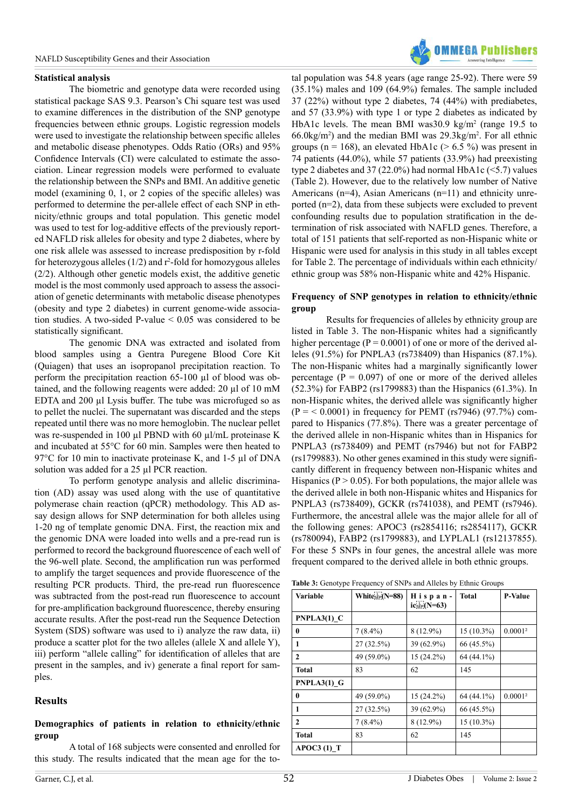

#### **Statistical analysis**

The biometric and genotype data were recorded using statistical package SAS 9.3. Pearson's Chi square test was used to examine differences in the distribution of the SNP genotype frequencies between ethnic groups. Logistic regression models were used to investigate the relationship between specific alleles and metabolic disease phenotypes. Odds Ratio (ORs) and 95% Confidence Intervals (CI) were calculated to estimate the association. Linear regression models were performed to evaluate the relationship between the SNPs and BMI. An additive genetic model (examining 0, 1, or 2 copies of the specific alleles) was performed to determine the per-allele effect of each SNP in ethnicity/ethnic groups and total population. This genetic model was used to test for log-additive effects of the previously reported NAFLD risk alleles for obesity and type 2 diabetes, where by one risk allele was assessed to increase predisposition by r-fold for heterozygous alleles  $(1/2)$  and  $r^2$ -fold for homozygous alleles (2/2). Although other genetic models exist, the additive genetic model is the most commonly used approach to assess the association of genetic determinants with metabolic disease phenotypes (obesity and type 2 diabetes) in current genome-wide association studies. A two-sided P-value  $\leq 0.05$  was considered to be statistically significant.

The genomic DNA was extracted and isolated from blood samples using a Gentra Puregene Blood Core Kit (Quiagen) that uses an isopropanol precipitation reaction. To perform the precipitation reaction 65-100 µl of blood was obtained, and the following reagents were added: 20 µl of 10 mM EDTA and 200 µl Lysis buffer. The tube was microfuged so as to pellet the nuclei. The supernatant was discarded and the steps repeated until there was no more hemoglobin. The nuclear pellet was re-suspended in 100 µl PBND with 60 µl/mL proteinase K and incubated at 55°C for 60 min. Samples were then heated to 97 °C for 10 min to inactivate proteinase K, and 1-5 µl of DNA solution was added for a 25 µl PCR reaction.

To perform genotype analysis and allelic discrimination (AD) assay was used along with the use of quantitative polymerase chain reaction (qPCR) methodology. This AD assay design allows for SNP determination for both alleles using 1-20 ng of template genomic DNA. First, the reaction mix and the genomic DNA were loaded into wells and a pre-read run is performed to record the background fluorescence of each well of the 96-well plate. Second, the amplification run was performed to amplify the target sequences and provide fluorescence of the resulting PCR products. Third, the pre-read run fluorescence was subtracted from the post-read run fluorescence to account for pre-amplification background fluorescence, thereby ensuring accurate results. After the post-read run the Sequence Detection System (SDS) software was used to i) analyze the raw data, ii) produce a scatter plot for the two alleles (allele X and allele Y), iii) perform "allele calling" for identification of alleles that are present in the samples, and iv) generate a final report for samples.

# **Results**

#### **Demographics of patients in relation to ethnicity/ethnic group**

A total of 168 subjects were consented and enrolled for this study. The results indicated that the mean age for the to-

tal population was 54.8 years (age range 25-92). There were 59 (35.1%) males and 109 (64.9%) females. The sample included 37 (22%) without type 2 diabetes, 74 (44%) with prediabetes, and 57 (33.9%) with type 1 or type 2 diabetes as indicated by HbA1c levels. The mean BMI was  $30.9 \text{ kg/m}^2$  (range 19.5 to 66.0kg/m2 ) and the median BMI was 29.3kg/m2 . For all ethnic groups ( $n = 168$ ), an elevated HbA1c ( $> 6.5 \%$ ) was present in 74 patients (44.0%), while 57 patients (33.9%) had preexisting type 2 diabetes and 37 (22.0%) had normal HbA1c (<5.7) values (Table 2). However, due to the relatively low number of Native Americans (n=4), Asian Americans (n=11) and ethnicity unreported (n=2), data from these subjects were excluded to prevent confounding results due to population stratification in the determination of risk associated with NAFLD genes. Therefore, a total of 151 patients that self-reported as non-Hispanic white or Hispanic were used for analysis in this study in all tables except for Table 2. The percentage of individuals within each ethnicity/ ethnic group was 58% non-Hispanic white and 42% Hispanic.

#### **Frequency of SNP genotypes in relation to ethnicity/ethnic group**

Results for frequencies of alleles by ethnicity group are listed in Table 3. The non-Hispanic whites had a significantly higher percentage ( $P = 0.0001$ ) of one or more of the derived alleles (91.5%) for PNPLA3 (rs738409) than Hispanics (87.1%). The non-Hispanic whites had a marginally significantly lower percentage ( $P = 0.097$ ) of one or more of the derived alleles (52.3%) for FABP2 (rs1799883) than the Hispanics (61.3%). In non-Hispanic whites, the derived allele was significantly higher  $(P = 0.0001)$  in frequency for PEMT (rs7946) (97.7%) compared to Hispanics (77.8%). There was a greater percentage of the derived allele in non-Hispanic whites than in Hispanics for PNPLA3 (rs738409) and PEMT (rs7946) but not for FABP2 (rs1799883). No other genes examined in this study were significantly different in frequency between non-Hispanic whites and Hispanics ( $P > 0.05$ ). For both populations, the major allele was the derived allele in both non-Hispanic whites and Hispanics for PNPLA3 (rs738409), GCKR (rs741038), and PEMT (rs7946). Furthermore, the ancestral allele was the major allele for all of the following genes: APOC3 (rs2854116; rs2854117), GCKR (rs780094), FABP2 (rs1799883), and LYPLAL1 (rs12137855). For these 5 SNPs in four genes, the ancestral allele was more frequent compared to the derived allele in both ethnic groups.

|  |  |  |  | Table 3: Genotype Frequency of SNPs and Alleles by Ethnic Groups |  |  |
|--|--|--|--|------------------------------------------------------------------|--|--|
|--|--|--|--|------------------------------------------------------------------|--|--|

| Variable                 | White <sub>sep</sub> (N=88) | Hispan-<br>$icSEP(N=63)$ | <b>Total</b> | <b>P-Value</b>      |
|--------------------------|-----------------------------|--------------------------|--------------|---------------------|
| $PNPLA3(1)$ <sup>C</sup> |                             |                          |              |                     |
| $\mathbf{0}$             | $7(8.4\%)$                  | 8 (12.9%)                | $15(10.3\%)$ | 0.0001 <sup>2</sup> |
| 1                        | 27 (32.5%)                  | 39 (62.9%)               | 66 (45.5%)   |                     |
| $\mathbf{2}$             | 49 (59.0%)                  | $15(24.2\%)$             | 64 (44.1%)   |                     |
| Total                    | 83                          | 62                       | 145          |                     |
| $PNPLA3(1)$ G            |                             |                          |              |                     |
| 0                        | 49 (59.0%)                  | 15 (24.2%)               | 64 (44.1%)   | 0.0001 <sup>2</sup> |
| 1                        | 27 (32.5%)                  | 39 (62.9%)               | 66 (45.5%)   |                     |
| $\mathbf{2}$             | $7(8.4\%)$                  | 8 (12.9%)                | 15 (10.3%)   |                     |
| <b>Total</b>             | 83                          | 62                       | 145          |                     |
| $APOC3(1)$ T             |                             |                          |              |                     |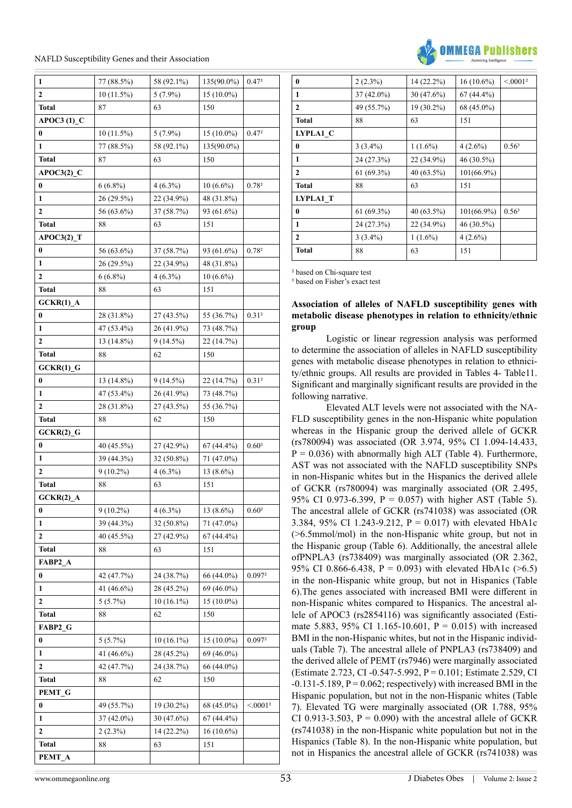| 1                      | 77 (88.5%)   | 58 (92.1%)   | 135(90.0%)   | 0.472                |
|------------------------|--------------|--------------|--------------|----------------------|
| $\mathbf{2}$           | $10(11.5\%)$ | $5(7.9\%)$   | 15 (10.0%)   |                      |
| <b>Total</b>           | 87           | 63           | 150          |                      |
| $APOC3(1)$ C           |              |              |              |                      |
| 0                      | $10(11.5\%)$ | $5(7.9\%)$   | $15(10.0\%)$ | 0.47 <sup>2</sup>    |
| $\mathbf{1}$           | 77 (88.5%)   | 58 (92.1%)   | 135(90.0%)   |                      |
| <b>Total</b>           | 87           | 63           | 150          |                      |
| $APOC3(2)$ C           |              |              |              |                      |
| 0                      | $6(6.8\%)$   | $4(6.3\%)$   | $10(6.6\%)$  | 0.782                |
| $\mathbf{1}$           | 26 (29.5%)   | 22 (34.9%)   | 48 (31.8%)   |                      |
| 2                      | 56 (63.6%)   | 37 (58.7%)   | 93 (61.6%)   |                      |
| <b>Total</b>           | 88           | 63           | 151          |                      |
| $APOC3(2)$ T           |              |              |              |                      |
| 0                      | 56 (63.6%)   | 37 (58.7%)   | 93 (61.6%)   | 0.78 <sup>2</sup>    |
| 1                      | 26 (29.5%)   | 22 (34.9%)   | 48 (31.8%)   |                      |
| 2                      | $6(6.8\%)$   | $4(6.3\%)$   | $10(6.6\%)$  |                      |
| <b>Total</b>           | 88           | 63           | 151          |                      |
| $GCKR(1)$ A            |              |              |              |                      |
| 0                      | 28 (31.8%)   | 27 (43.5%)   | 55 (36.7%)   | 0.31 <sup>2</sup>    |
| 1                      | 47 (53.4%)   | 26 (41.9%)   | 73 (48.7%)   |                      |
| 2                      | 13 (14.8%)   | $9(14.5\%)$  | 22 (14.7%)   |                      |
| <b>Total</b>           | 88           | 62           | 150          |                      |
| $GCKR(1)$ <sub>G</sub> |              |              |              |                      |
| 0                      | 13 (14.8%)   | $9(14.5\%)$  | 22 (14.7%)   | 0.31 <sup>2</sup>    |
| 1                      | 47 (53.4%)   | 26 (41.9%)   | 73 (48.7%)   |                      |
| 2                      | 28 (31.8%)   | 27 (43.5%)   | 55 (36.7%)   |                      |
| <b>Total</b>           | 88           | 62           | 150          |                      |
| $GCKR(2)$ G            |              |              |              |                      |
| 0                      | 40 (45.5%)   | 27 (42.9%)   | $67(44.4\%)$ | 0.60 <sup>2</sup>    |
| 1                      | 39 (44.3%)   | 32 (50.8%)   | 71 (47.0%)   |                      |
| 2                      | $9(10.2\%)$  | $4(6.3\%)$   | $13(8.6\%)$  |                      |
| <b>Total</b>           | 88           | 63           | 151          |                      |
| $GCKR(2)$ _A           |              |              |              |                      |
| 0                      | $9(10.2\%)$  | $4(6.3\%)$   | $13(8.6\%)$  | 0.60 <sup>2</sup>    |
| 1                      | 39 (44.3%)   | 32 (50.8%)   | 71 (47.0%)   |                      |
| 2                      | 40 (45.5%)   | 27 (42.9%)   | 67 (44.4%)   |                      |
| <b>Total</b>           | 88           | 63           | 151          |                      |
| FABP2 A                |              |              |              |                      |
| $\bf{0}$               | 42 (47.7%)   | 24 (38.7%)   | 66 (44.0%)   | 0.0972               |
| 1                      | 41 (46.6%)   | 28 (45.2%)   | 69 (46.0%)   |                      |
| 2                      | $5(5.7\%)$   | $10(16.1\%)$ | $15(10.0\%)$ |                      |
| <b>Total</b>           | 88           | 62           | 150          |                      |
| FABP2 G                |              |              |              |                      |
| 0                      | $5(5.7\%)$   | 10 (16.1%)   | $15(10.0\%)$ | 0.0972               |
| 1                      | 41 (46.6%)   | 28 (45.2%)   | 69 (46.0%)   |                      |
| 2                      | 42 (47.7%)   | 24 (38.7%)   | 66 (44.0%)   |                      |
| <b>Total</b>           | 88           | 62           | 150          |                      |
| PEMT_G                 |              |              |              |                      |
| 0                      | 49 (55.7%)   | 19 (30.2%)   | 68 (45.0%)   | < 0.001 <sup>2</sup> |
| 1                      |              |              |              |                      |
| 2                      | 37 (42.0%)   | 30 (47.6%)   | 67 (44.4%)   |                      |
|                        | $2(2.3\%)$   | 14 (22.2%)   | 16 (10.6%)   |                      |
| <b>Total</b>           | 88           | 63           | 151          |                      |
| PEMT_A                 |              |              |              |                      |



| $\mathbf{0}$ | $2(2.3\%)$   | 14 (22.2%) | $16(10.6\%)$  | < 0.0012          |
|--------------|--------------|------------|---------------|-------------------|
| 1            | $37(42.0\%)$ | 30 (47.6%) | $67(44.4\%)$  |                   |
| $\mathbf{2}$ | 49 (55.7%)   | 19 (30.2%) | 68 (45.0%)    |                   |
| <b>Total</b> | 88           | 63         | 151           |                   |
| LYPLA1 C     |              |            |               |                   |
| $\mathbf{0}$ | $3(3.4\%)$   | $1(1.6\%)$ | $4(2.6\%)$    | 0.56 <sup>3</sup> |
| 1            | 24 (27.3%)   | 22 (34.9%) | 46 (30.5%)    |                   |
| 2            | $61(69.3\%)$ | 40 (63.5%) | 101(66.9%)    |                   |
| <b>Total</b> | 88           | 63         | 151           |                   |
| LYPLA1 T     |              |            |               |                   |
| $\bf{0}$     | $61(69.3\%)$ | 40 (63.5%) | $101(66.9\%)$ | 0.56 <sup>3</sup> |
| 1            | 24 (27.3%)   | 22 (34.9%) | 46 (30.5%)    |                   |
| $\mathbf{2}$ | $3(3.4\%)$   | $1(1.6\%)$ | $4(2.6\%)$    |                   |
| <b>Total</b> | 88           | 63         | 151           |                   |

² based on Chi-square test

<sup>3</sup> based on Fisher's exact test

#### **Association of alleles of NAFLD susceptibility genes with metabolic disease phenotypes in relation to ethnicity/ethnic group**

Logistic or linear regression analysis was performed to determine the association of alleles in NAFLD susceptibility genes with metabolic disease phenotypes in relation to ethnicity/ethnic groups. All results are provided in Tables 4- Table11. Significant and marginally significant results are provided in the following narrative.

Elevated ALT levels were not associated with the NA-FLD susceptibility genes in the non-Hispanic white population whereas in the Hispanic group the derived allele of GCKR (rs780094) was associated (OR 3.974, 95% CI 1.094-14.433,  $P = 0.036$ ) with abnormally high ALT (Table 4). Furthermore, AST was not associated with the NAFLD susceptibility SNPs in non-Hispanic whites but in the Hispanics the derived allele of GCKR (rs780094) was marginally associated (OR 2.495, 95% CI 0.973-6.399,  $P = 0.057$  with higher AST (Table 5). The ancestral allele of GCKR (rs741038) was associated (OR 3.384, 95% CI 1.243-9.212, P = 0.017) with elevated HbA1c (>6.5mmol/mol) in the non-Hispanic white group, but not in the Hispanic group (Table 6). Additionally, the ancestral allele ofPNPLA3 (rs738409) was marginally associated (OR 2.362, 95% CI 0.866-6.438, P = 0.093) with elevated HbA1c ( $>6.5$ ) in the non-Hispanic white group, but not in Hispanics (Table 6).The genes associated with increased BMI were different in non-Hispanic whites compared to Hispanics. The ancestral allele of APOC3 (rs2854116) was significantly associated (Estimate 5.883, 95% CI 1.165-10.601,  $P = 0.015$ ) with increased BMI in the non-Hispanic whites, but not in the Hispanic individuals (Table 7). The ancestral allele of PNPLA3 (rs738409) and the derived allele of PEMT (rs7946) were marginally associated (Estimate 2.723, CI -0.547-5.992, P = 0.101; Estimate 2.529, CI  $-0.131-5.189$ ,  $P = 0.062$ ; respectively) with increased BMI in the Hispanic population, but not in the non-Hispanic whites (Table 7). Elevated TG were marginally associated (OR 1.788, 95% CI 0.913-3.503,  $P = 0.090$ ) with the ancestral allele of GCKR (rs741038) in the non-Hispanic white population but not in the Hispanics (Table 8). In the non-Hispanic white population, but not in Hispanics the ancestral allele of GCKR (rs741038) was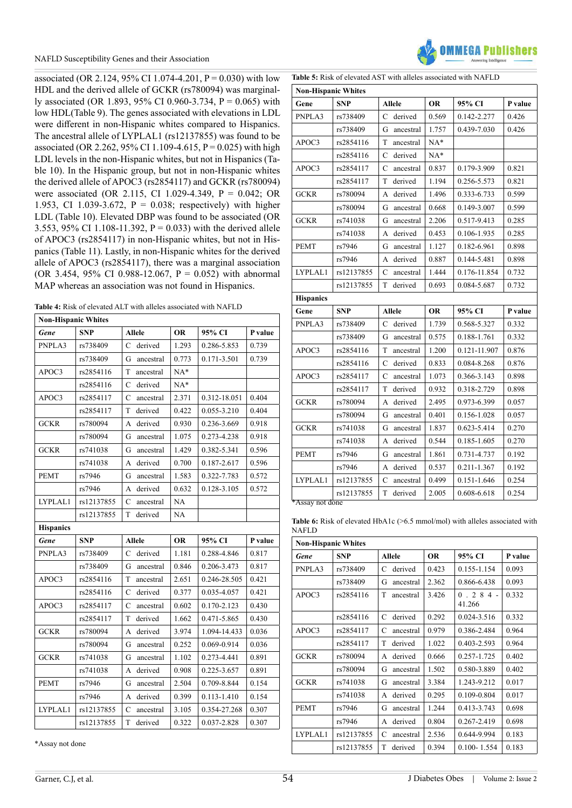associated (OR 2.124, 95% CI 1.074-4.201,  $P = 0.030$ ) with low HDL and the derived allele of GCKR (rs780094) was marginally associated (OR 1.893, 95% CI 0.960-3.734, P = 0.065) with low HDL(Table 9). The genes associated with elevations in LDL were different in non-Hispanic whites compared to Hispanics. The ancestral allele of LYPLAL1 (rs12137855) was found to be associated (OR 2.262, 95% CI 1.109-4.615, P = 0.025) with high LDL levels in the non-Hispanic whites, but not in Hispanics (Table 10). In the Hispanic group, but not in non-Hispanic whites the derived allele of APOC3 (rs2854117) and GCKR (rs780094) were associated (OR 2.115, CI 1.029-4.349, P = 0.042; OR 1.953, CI 1.039-3.672,  $P = 0.038$ ; respectively) with higher LDL (Table 10). Elevated DBP was found to be associated (OR 3.553, 95% CI 1.108-11.392,  $P = 0.033$ ) with the derived allele of APOC3 (rs2854117) in non-Hispanic whites, but not in Hispanics (Table 11). Lastly, in non-Hispanic whites for the derived allele of APOC3 (rs2854117), there was a marginal association (OR 3.454, 95% CI 0.988-12.067, P = 0.052) with abnormal MAP whereas an association was not found in Hispanics.

| <b>Table 4:</b> Risk of elevated ALT with alleles associated with NAFLD |  |
|-------------------------------------------------------------------------|--|
|-------------------------------------------------------------------------|--|

| <b>Non-Hispanic Whites</b> |            |                           |           |              |         |  |
|----------------------------|------------|---------------------------|-----------|--------------|---------|--|
| Gene                       | <b>SNP</b> | <b>Allele</b>             | <b>OR</b> | 95% CI       | P value |  |
| PNPLA3                     | rs738409   | $\mathsf{C}$<br>derived   | 1.293     | 0.286-5.853  | 0.739   |  |
|                            | rs738409   | G<br>ancestral            | 0.773     | 0.171-3.501  | 0.739   |  |
| APOC3                      | rs2854116  | T<br>ancestral            | $NA*$     |              |         |  |
|                            | rs2854116  | $\mathsf{C}$<br>derived   | $NA*$     |              |         |  |
| APOC3                      | rs2854117  | $\mathsf{C}$<br>ancestral | 2.371     | 0.312-18.051 | 0.404   |  |
|                            | rs2854117  | T<br>derived              | 0.422     | 0.055-3.210  | 0.404   |  |
| <b>GCKR</b>                | rs780094   | derived<br>A              | 0.930     | 0.236-3.669  | 0.918   |  |
|                            | rs780094   | ancestral<br>G            | 1.075     | 0.273-4.238  | 0.918   |  |
| <b>GCKR</b>                | rs741038   | G<br>ancestral            | 1.429     | 0.382-5.341  | 0.596   |  |
|                            | rs741038   | derived<br>A              | 0.700     | 0.187-2.617  | 0.596   |  |
| <b>PEMT</b>                | rs7946     | G<br>ancestral            | 1.583     | 0.322-7.783  | 0.572   |  |
|                            | rs7946     | derived<br>A              | 0.632     | 0.128-3.105  | 0.572   |  |
| LYPLAL1                    | rs12137855 | C<br>ancestral            | <b>NA</b> |              |         |  |
|                            | rs12137855 | T<br>derived              | NA        |              |         |  |
| <b>Hispanics</b>           |            |                           |           |              |         |  |
| Gene                       | <b>SNP</b> | <b>Allele</b>             | <b>OR</b> | 95% CI       | P value |  |
| PNPLA3                     | rs738409   | derived<br>C              | 1.181     | 0.288-4.846  | 0.817   |  |
|                            | rs738409   | G<br>ancestral            | 0.846     | 0.206-3.473  | 0.817   |  |
| APOC3                      | rs2854116  | T<br>ancestral            | 2.651     | 0.246-28.505 | 0.421   |  |
|                            | rs2854116  | $\mathsf{C}$<br>derived   | 0.377     | 0.035-4.057  | 0.421   |  |
| APOC3                      | rs2854117  | $\mathbf C$<br>ancestral  | 0.602     | 0.170-2.123  | 0.430   |  |
|                            | rs2854117  | T<br>derived              | 1.662     | 0.471-5.865  | 0.430   |  |
| <b>GCKR</b>                | rs780094   | A<br>derived              | 3.974     | 1.094-14.433 | 0.036   |  |
|                            | rs780094   | G<br>ancestral            | 0.252     | 0.069-0.914  | 0.036   |  |
| <b>GCKR</b>                | rs741038   | G<br>ancestral            | 1.102     | 0.273-4.441  | 0.891   |  |
|                            | rs741038   | derived<br>А              | 0.908     | 0.225-3.657  | 0.891   |  |
| <b>PEMT</b>                | rs7946     | G<br>ancestral            | 2.504     | 0.709-8.844  | 0.154   |  |
|                            | rs7946     | derived<br>A              | 0.399     | 0.113-1.410  | 0.154   |  |
| LYPLAL1                    | rs12137855 | C<br>ancestral            | 3.105     | 0.354-27.268 | 0.307   |  |
|                            | rs12137855 | T<br>derived              | 0.322     | 0.037-2.828  | 0.307   |  |

**FRA Publichard** 

**Table 5:** Risk of elevated AST with alleles associated with NAFLD

| <b>Non-Hispanic Whites</b> |            |                           |           |              |         |  |
|----------------------------|------------|---------------------------|-----------|--------------|---------|--|
| Gene                       | <b>SNP</b> | <b>Allele</b>             | <b>OR</b> | 95% CI       | P value |  |
| PNPLA3                     | rs738409   | $\mathbf C$<br>derived    | 0.569     | 0.142-2.277  | 0.426   |  |
|                            | rs738409   | G<br>ancestral            | 1.757     | 0.439-7.030  | 0.426   |  |
| APOC3                      | rs2854116  | T<br>ancestral            | $NA*$     |              |         |  |
|                            | rs2854116  | $\mathsf{C}$<br>derived   | $NA*$     |              |         |  |
| APOC3                      | rs2854117  | $\mathbf C$<br>ancestral  | 0.837     | 0.179-3.909  | 0.821   |  |
|                            | rs2854117  | T<br>derived              | 1.194     | 0.256-5.573  | 0.821   |  |
| <b>GCKR</b>                | rs780094   | derived<br>А              | 1.496     | 0.333-6.733  | 0.599   |  |
|                            | rs780094   | G<br>ancestral            | 0.668     | 0.149-3.007  | 0.599   |  |
| <b>GCKR</b>                | rs741038   | G<br>ancestral            | 2.206     | 0.517-9.413  | 0.285   |  |
|                            | rs741038   | derived<br>А              | 0.453     | 0.106-1.935  | 0.285   |  |
| <b>PEMT</b>                | rs7946     | G<br>ancestral            | 1.127     | 0.182-6.961  | 0.898   |  |
|                            | rs7946     | derived<br>A              | 0.887     | 0.144-5.481  | 0.898   |  |
| LYPLAL1                    | rs12137855 | C<br>ancestral            | 1.444     | 0.176-11.854 | 0.732   |  |
|                            | rs12137855 | T<br>derived              | 0.693     | 0.084-5.687  | 0.732   |  |
| <b>Hispanics</b>           |            |                           |           |              |         |  |
| Gene                       | <b>SNP</b> | <b>Allele</b>             | <b>OR</b> | 95% CI       | P value |  |
| PNPLA3                     | rs738409   | $\mathsf{C}$<br>derived   | 1.739     | 0.568-5.327  | 0.332   |  |
|                            | rs738409   | G<br>ancestral            | 0.575     | 0.188-1.761  | 0.332   |  |
| APOC3                      | rs2854116  | T<br>ancestral            | 1.200     | 0.121-11.907 | 0.876   |  |
|                            | rs2854116  | C<br>derived              | 0.833     | 0.084-8.268  | 0.876   |  |
| APOC3                      | rs2854117  | C<br>ancestral            | 1.073     | 0.366-3.143  | 0.898   |  |
|                            | rs2854117  | T<br>derived              | 0.932     | 0.318-2.729  | 0.898   |  |
| <b>GCKR</b>                | rs780094   | derived<br>A              | 2.495     | 0.973-6.399  | 0.057   |  |
|                            | rs780094   | G<br>ancestral            | 0.401     | 0.156-1.028  | 0.057   |  |
| <b>GCKR</b>                | rs741038   | G<br>ancestral            | 1.837     | 0.623-5.414  | 0.270   |  |
|                            | rs741038   | derived<br>А              | 0.544     | 0.185-1.605  | 0.270   |  |
| <b>PEMT</b>                | rs7946     | G<br>ancestral            | 1.861     | 0.731-4.737  | 0.192   |  |
|                            | rs7946     | derived<br>А              | 0.537     | 0.211-1.367  | 0.192   |  |
| LYPLAL1                    | rs12137855 | $\mathsf{C}$<br>ancestral | 0.499     | 0.151-1.646  | 0.254   |  |
|                            | rs12137855 | T<br>derived              | 2.005     | 0.608-6.618  | 0.254   |  |
| *Assay not done            |            |                           |           |              |         |  |

Table 6: Risk of elevated HbA1c (>6.5 mmol/mol) with alleles associated with NAFLD

| <b>Non-Hispanic Whites</b> |            |                |           |                         |         |  |  |
|----------------------------|------------|----------------|-----------|-------------------------|---------|--|--|
| Gene                       | <b>SNP</b> | <b>Allele</b>  | <b>OR</b> | 95% CI                  | P value |  |  |
| PNPLA3                     | rs738409   | derived<br>C   | 0.423     | 0.155-1.154             | 0.093   |  |  |
|                            | rs738409   | G<br>ancestral | 2.362     | 0.866-6.438             | 0.093   |  |  |
| APOC3                      | rs2854116  | T<br>ancestral | 3.426     | $.284 -$<br>0<br>41.266 | 0.332   |  |  |
|                            | rs2854116  | derived<br>C   | 0.292     | 0.024-3.516             | 0.332   |  |  |
| APOC3                      | rs2854117  | C<br>ancestral | 0.979     | 0.386-2.484             | 0.964   |  |  |
|                            | rs2854117  | T<br>derived   | 1.022     | 0.403-2.593             | 0.964   |  |  |
| <b>GCKR</b>                | rs780094   | derived<br>A   | 0.666     | 0.257-1.725             | 0.402   |  |  |
|                            | rs780094   | G<br>ancestral | 1.502     | 0.580-3.889             | 0.402   |  |  |
| <b>GCKR</b>                | rs741038   | G<br>ancestral | 3.384     | 1.243-9.212             | 0.017   |  |  |
|                            | rs741038   | derived<br>А   | 0.295     | 0.109-0.804             | 0.017   |  |  |
| <b>PEMT</b>                | rs7946     | ancestral<br>G | 1.244     | 0.413-3.743             | 0.698   |  |  |
|                            | rs7946     | derived<br>A   | 0.804     | 0.267-2.419             | 0.698   |  |  |
| LYPLAL1                    | rs12137855 | C<br>ancestral | 2.536     | 0.644-9.994             | 0.183   |  |  |
|                            | rs12137855 | T<br>derived   | 0.394     | $0.100 - 1.554$         | 0.183   |  |  |

\*Assay not done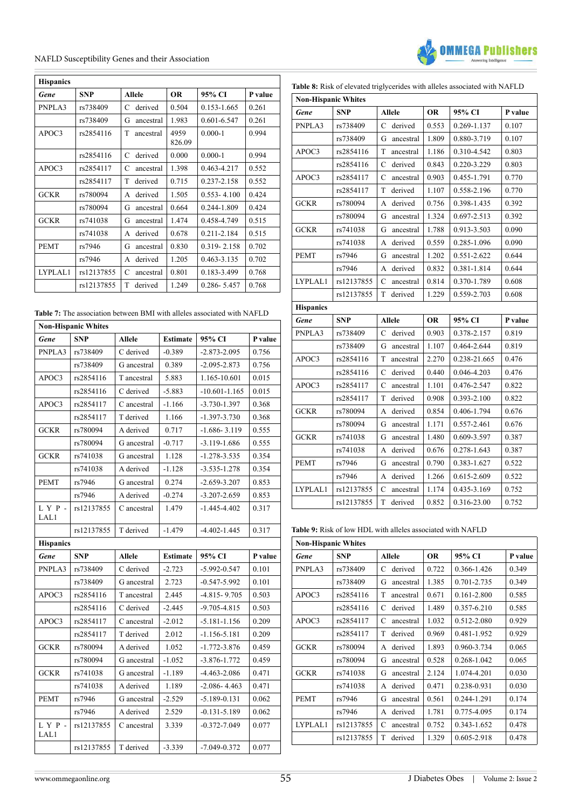

| <b>Hispanics</b> |            |                |                |                 |         |  |  |
|------------------|------------|----------------|----------------|-----------------|---------|--|--|
| Gene             | <b>SNP</b> | <b>Allele</b>  | <b>OR</b>      | 95% CI          | P value |  |  |
| PNPLA3           | rs738409   | derived<br>C   | 0.504          | 0.153-1.665     | 0.261   |  |  |
|                  | rs738409   | G<br>ancestral | 1.983          | $0.601 - 6.547$ | 0.261   |  |  |
| APOC3            | rs2854116  | T<br>ancestral | 4959<br>826.09 | $0.000 - 1$     | 0.994   |  |  |
|                  | rs2854116  | derived<br>C   | 0.000          | $0.000 - 1$     | 0.994   |  |  |
| APOC3            | rs2854117  | C<br>ancestral | 1.398          | 0.463-4.217     | 0.552   |  |  |
|                  | rs2854117  | T<br>derived   | 0.715          | 0.237-2.158     | 0.552   |  |  |
| <b>GCKR</b>      | rs780094   | derived<br>A   | 1.505          | $0.553 - 4.100$ | 0.424   |  |  |
|                  | rs780094   | G<br>ancestral | 0.664          | 0.244-1.809     | 0.424   |  |  |
| GCKR             | rs741038   | G<br>ancestral | 1.474          | 0.458-4.749     | 0.515   |  |  |
|                  | rs741038   | derived<br>A   | 0.678          | 0.211-2.184     | 0.515   |  |  |
| <b>PEMT</b>      | rs7946     | G<br>ancestral | 0.830          | $0.319 - 2.158$ | 0.702   |  |  |
|                  | rs7946     | derived<br>A   | 1.205          | 0.463-3.135     | 0.702   |  |  |
| LYPLAL1          | rs12137855 | C<br>ancestral | 0.801          | 0.183-3.499     | 0.768   |  |  |
|                  | rs12137855 | т<br>derived   | 1.249          | 0.286-5.457     | 0.768   |  |  |

| <b>Non-Hispanic Whites</b> |            |               |                 |                   |         |  |  |
|----------------------------|------------|---------------|-----------------|-------------------|---------|--|--|
| Gene                       | <b>SNP</b> | Allele        | <b>Estimate</b> | 95% CI            | P value |  |  |
| PNPLA3                     | rs738409   | C derived     | $-0.389$        | $-2.873 - 2.095$  | 0.756   |  |  |
|                            | rs738409   | G ancestral   | 0.389           | $-2.095 - 2.873$  | 0.756   |  |  |
| APOC3                      | rs2854116  | T ancestral   | 5.883           | 1.165-10.601      | 0.015   |  |  |
|                            | rs2854116  | C derived     | $-5.883$        | $-10.601 - 1.165$ | 0.015   |  |  |
| APOC3                      | rs2854117  | C ancestral   | $-1.166$        | $-3.730 - 1.397$  | 0.368   |  |  |
|                            | rs2854117  | T derived     | 1.166           | $-1.397 - 3.730$  | 0.368   |  |  |
| <b>GCKR</b>                | rs780094   | A derived     | 0.717           | $-1.686 - 3.119$  | 0.555   |  |  |
|                            | rs780094   | G ancestral   | $-0.717$        | $-3.119 - 1.686$  | 0.555   |  |  |
| <b>GCKR</b>                | rs741038   | G ancestral   | 1.128           | $-1.278 - 3.535$  | 0.354   |  |  |
|                            | rs741038   | A derived     | $-1.128$        | $-3.535 - 1.278$  | 0.354   |  |  |
| <b>PEMT</b>                | rs7946     | G ancestral   | 0.274           | $-2.659 - 3.207$  | 0.853   |  |  |
|                            | rs7946     | A derived     | $-0.274$        | $-3.207 - 2.659$  | 0.853   |  |  |
| LYP-<br>LAL1               | rs12137855 | C ancestral   | 1.479           | $-1.445 - 4.402$  | 0.317   |  |  |
|                            | rs12137855 | T derived     | $-1.479$        | $-4.402 - 1.445$  | 0.317   |  |  |
| <b>Hispanics</b>           |            |               |                 |                   |         |  |  |
| <b>Gene</b>                | <b>SNP</b> | <b>Allele</b> | <b>Estimate</b> | 95% CI            | P value |  |  |
| PNPLA3                     | rs738409   | C derived     | $-2.723$        | $-5.992 - 0.547$  | 0.101   |  |  |
|                            | rs738409   | G ancestral   | 2.723           | $-0.547 - 5.992$  | 0.101   |  |  |
| APOC3                      | rs2854116  | T ancestral   | 2.445           | $-4.815 - 9.705$  | 0.503   |  |  |
|                            | rs2854116  | C derived     | $-2.445$        | $-9.705 - 4.815$  | 0.503   |  |  |
| APOC3                      | rs2854117  | C ancestral   | $-2.012$        | $-5.181 - 1.156$  | 0.209   |  |  |
|                            | rs2854117  | T derived     | 2.012           | $-1.156 - 5.181$  | 0.209   |  |  |
| <b>GCKR</b>                | rs780094   | A derived     | 1.052           | $-1.772 - 3.876$  | 0.459   |  |  |
|                            | rs780094   | G ancestral   | $-1.052$        | $-3.876 - 1.772$  | 0.459   |  |  |
| <b>GCKR</b>                | rs741038   | G ancestral   | $-1.189$        | $-4.463 - 2.086$  | 0.471   |  |  |
|                            | rs741038   | A derived     | 1.189           | $-2.086 - 4.463$  | 0.471   |  |  |
| <b>PEMT</b>                | rs7946     | G ancestral   | $-2.529$        | $-5.189 - 0.131$  | 0.062   |  |  |
|                            | rs7946     | A derived     | 2.529           | $-0.131 - 5.189$  | 0.062   |  |  |
| $L Y P -$<br>LAL1          | rs12137855 | C ancestral   | 3.339           | $-0.372 - 7.049$  | 0.077   |  |  |
|                            | rs12137855 | T derived     | $-3.339$        | $-7.049 - 0.372$  | 0.077   |  |  |

|  | Table 8: Risk of elevated triglycerides with alleles associated with NAFLD |  |  |  |  |
|--|----------------------------------------------------------------------------|--|--|--|--|
|--|----------------------------------------------------------------------------|--|--|--|--|

| <b>Non-Hispanic Whites</b> |            |                             |           |              |         |  |  |
|----------------------------|------------|-----------------------------|-----------|--------------|---------|--|--|
| Gene                       | <b>SNP</b> | <b>Allele</b>               | <b>OR</b> | 95% CI       | P value |  |  |
| PNPLA3                     | rs738409   | C<br>derived                | 0.553     | 0.269-1.137  | 0.107   |  |  |
|                            | rs738409   | G<br>ancestral              | 1.809     | 0.880-3.719  | 0.107   |  |  |
| APOC3                      | rs2854116  | T<br>ancestral              | 1.186     | 0.310-4.542  | 0.803   |  |  |
|                            | rs2854116  | derived<br>$\mathsf{C}$     | 0.843     | 0.220-3.229  | 0.803   |  |  |
| APOC3                      | rs2854117  | $\overline{C}$<br>ancestral | 0.903     | 0.455-1.791  | 0.770   |  |  |
|                            | rs2854117  | T<br>derived                | 1.107     | 0.558-2.196  | 0.770   |  |  |
| <b>GCKR</b>                | rs780094   | derived<br>А                | 0.756     | 0.398-1.435  | 0.392   |  |  |
|                            | rs780094   | G<br>ancestral              | 1.324     | 0.697-2.513  | 0.392   |  |  |
| <b>GCKR</b>                | rs741038   | G<br>ancestral              | 1.788     | 0.913-3.503  | 0.090   |  |  |
|                            | rs741038   | derived<br>А                | 0.559     | 0.285-1.096  | 0.090   |  |  |
| <b>PEMT</b>                | rs7946     | G<br>ancestral              | 1.202     | 0.551-2.622  | 0.644   |  |  |
|                            | rs7946     | derived<br>А                | 0.832     | 0.381-1.814  | 0.644   |  |  |
| LYPLAL1                    | rs12137855 | C<br>ancestral              | 0.814     | 0.370-1.789  | 0.608   |  |  |
|                            | rs12137855 | derived<br>T                | 1.229     | 0.559-2.703  | 0.608   |  |  |
| <b>Hispanics</b>           |            |                             |           |              |         |  |  |
|                            |            |                             |           |              |         |  |  |
| Gene                       | <b>SNP</b> | <b>Allele</b>               | <b>OR</b> | 95% CI       | P value |  |  |
| PNPLA3                     | rs738409   | derived<br>C                | 0.903     | 0.378-2.157  | 0.819   |  |  |
|                            | rs738409   | G<br>ancestral              | 1.107     | 0.464-2.644  | 0.819   |  |  |
| APOC3                      | rs2854116  | T<br>ancestral              | 2.270     | 0.238-21.665 | 0.476   |  |  |
|                            | rs2854116  | derived<br>C                | 0.440     | 0.046-4.203  | 0.476   |  |  |
| APOC3                      | rs2854117  | C<br>ancestral              | 1.101     | 0.476-2.547  | 0.822   |  |  |
|                            | rs2854117  | T<br>derived                | 0.908     | 0.393-2.100  | 0.822   |  |  |
| <b>GCKR</b>                | rs780094   | derived<br>А                | 0.854     | 0.406-1.794  | 0.676   |  |  |
|                            | rs780094   | G<br>ancestral              | 1.171     | 0.557-2.461  | 0.676   |  |  |
| <b>GCKR</b>                | rs741038   | G<br>ancestral              | 1.480     | 0.609-3.597  | 0.387   |  |  |
|                            | rs741038   | derived<br>A                | 0.676     | 0.278-1.643  | 0.387   |  |  |
| <b>PEMT</b>                | rs7946     | G<br>ancestral              | 0.790     | 0.383-1.627  | 0.522   |  |  |
|                            | rs7946     | derived<br>А                | 1.266     | 0.615-2.609  | 0.522   |  |  |
| LYPLAL1                    | rs12137855 | C<br>ancestral              | 1.174     | 0.435-3.169  | 0.752   |  |  |

**Table 9:** Risk of low HDL with alleles associated with NAFLD

| <b>Non-Hispanic Whites</b> |            |                |           |             |         |  |  |
|----------------------------|------------|----------------|-----------|-------------|---------|--|--|
| Gene                       | <b>SNP</b> | <b>Allele</b>  | <b>OR</b> | 95% CI      | P value |  |  |
| PNPLA3                     | rs738409   | derived<br>C   | 0.722     | 0.366-1.426 | 0.349   |  |  |
|                            | rs738409   | G<br>ancestral | 1.385     | 0.701-2.735 | 0.349   |  |  |
| APOC3                      | rs2854116  | T<br>ancestral | 0.671     | 0.161-2.800 | 0.585   |  |  |
|                            | rs2854116  | derived<br>C   | 1.489     | 0.357-6.210 | 0.585   |  |  |
| APOC3                      | rs2854117  | C<br>ancestral | 1.032     | 0.512-2.080 | 0.929   |  |  |
|                            | rs2854117  | T<br>derived   | 0.969     | 0.481-1.952 | 0.929   |  |  |
| <b>GCKR</b>                | rs780094   | derived<br>A   | 1.893     | 0.960-3.734 | 0.065   |  |  |
|                            | rs780094   | G<br>ancestral | 0.528     | 0.268-1.042 | 0.065   |  |  |
| <b>GCKR</b>                | rs741038   | ancestral<br>G | 2.124     | 1.074-4.201 | 0.030   |  |  |
|                            | rs741038   | derived<br>A   | 0.471     | 0.238-0.931 | 0.030   |  |  |
| <b>PEMT</b>                | rs7946     | ancestral<br>G | 0.561     | 0.244-1.291 | 0.174   |  |  |
|                            | rs7946     | derived<br>A   | 1.781     | 0.775-4.095 | 0.174   |  |  |
| LYPLAL1                    | rs12137855 | C<br>ancestral | 0.752     | 0.343-1.652 | 0.478   |  |  |
|                            | rs12137855 | T<br>derived   | 1.329     | 0.605-2.918 | 0.478   |  |  |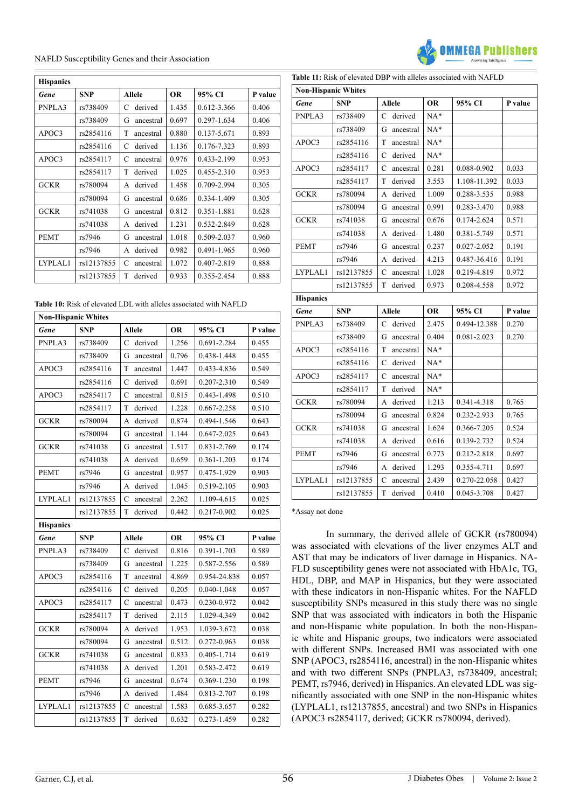

| <b>Hispanics</b> |            |                |           |             |         |  |  |
|------------------|------------|----------------|-----------|-------------|---------|--|--|
| Gene             | <b>SNP</b> | <b>Allele</b>  | <b>OR</b> | 95% CI      | P value |  |  |
| PNPLA3           | rs738409   | derived<br>C   | 1.435     | 0.612-3.366 | 0.406   |  |  |
|                  | rs738409   | G<br>ancestral | 0.697     | 0.297-1.634 | 0.406   |  |  |
| APOC3            | rs2854116  | T<br>ancestral | 0.880     | 0.137-5.671 | 0.893   |  |  |
|                  | rs2854116  | derived<br>C   | 1.136     | 0.176-7.323 | 0.893   |  |  |
| APOC3            | rs2854117  | C<br>ancestral | 0.976     | 0.433-2.199 | 0.953   |  |  |
|                  | rs2854117  | derived<br>T   | 1.025     | 0.455-2.310 | 0.953   |  |  |
| <b>GCKR</b>      | rs780094   | derived<br>A   | 1.458     | 0.709-2.994 | 0.305   |  |  |
|                  | rs780094   | G<br>ancestral | 0.686     | 0.334-1.409 | 0.305   |  |  |
| <b>GCKR</b>      | rs741038   | G<br>ancestral | 0.812     | 0.351-1.881 | 0.628   |  |  |
|                  | rs741038   | derived<br>A   | 1.231     | 0.532-2.849 | 0.628   |  |  |
| <b>PEMT</b>      | rs7946     | G<br>ancestral | 1.018     | 0.509-2.037 | 0.960   |  |  |
|                  | rs7946     | derived<br>A   | 0.982     | 0.491-1.965 | 0.960   |  |  |
| LYPLAL1          | rs12137855 | C<br>ancestral | 1.072     | 0.407-2.819 | 0.888   |  |  |
|                  | rs12137855 | T<br>derived   | 0.933     | 0.355-2.454 | 0.888   |  |  |

|  |  |  |  | <b>Table 10:</b> Risk of elevated LDL with alleles associated with NAFLD |  |
|--|--|--|--|--------------------------------------------------------------------------|--|
|  |  |  |  |                                                                          |  |

| <b>Non-Hispanic Whites</b> |            |                          |           |              |         |  |  |
|----------------------------|------------|--------------------------|-----------|--------------|---------|--|--|
| Gene                       | <b>SNP</b> | <b>Allele</b>            | <b>OR</b> | 95% CI       | P value |  |  |
| PNPLA3                     | rs738409   | derived<br>C             | 1.256     | 0.691-2.284  | 0.455   |  |  |
|                            | rs738409   | G<br>ancestral           | 0.796     | 0.438-1.448  | 0.455   |  |  |
| APOC3                      | rs2854116  | T<br>ancestral           | 1.447     | 0.433-4.836  | 0.549   |  |  |
|                            | rs2854116  | derived<br>C             | 0.691     | 0.207-2.310  | 0.549   |  |  |
| APOC3                      | rs2854117  | $\mathbf C$<br>ancestral | 0.815     | 0.443-1.498  | 0.510   |  |  |
|                            | rs2854117  | T<br>derived             | 1.228     | 0.667-2.258  | 0.510   |  |  |
| <b>GCKR</b>                | rs780094   | derived<br>A             | 0.874     | 0.494-1.546  | 0.643   |  |  |
|                            | rs780094   | G<br>ancestral           | 1.144     | 0.647-2.025  | 0.643   |  |  |
| <b>GCKR</b>                | rs741038   | G<br>ancestral           | 1.517     | 0.831-2.769  | 0.174   |  |  |
|                            | rs741038   | derived<br>A             | 0.659     | 0.361-1.203  | 0.174   |  |  |
| <b>PEMT</b>                | rs7946     | G<br>ancestral           | 0.957     | 0.475-1.929  | 0.903   |  |  |
|                            | rs7946     | derived<br>А             | 1.045     | 0.519-2.105  | 0.903   |  |  |
| LYPLAL1                    | rs12137855 | C<br>ancestral           | 2.262     | 1.109-4.615  | 0.025   |  |  |
|                            | rs12137855 | T<br>derived             | 0.442     | 0.217-0.902  | 0.025   |  |  |
| <b>Hispanics</b>           |            |                          |           |              |         |  |  |
| Gene                       | <b>SNP</b> | <b>Allele</b>            | <b>OR</b> | 95% CI       | P value |  |  |
| PNPLA3                     | rs738409   | derived<br>C             | 0.816     | 0.391-1.703  | 0.589   |  |  |
|                            | rs738409   | G<br>ancestral           | 1.225     | 0.587-2.556  | 0.589   |  |  |
| APOC3                      | rs2854116  | T<br>ancestral           | 4.869     | 0.954-24.838 | 0.057   |  |  |
|                            | rs2854116  | derived<br>C             | 0.205     | 0.040-1.048  | 0.057   |  |  |
| APOC3                      | rs2854117  | $\mathbf C$<br>ancestral | 0.473     | 0.230-0.972  | 0.042   |  |  |
|                            | rs2854117  | T<br>derived             | 2.115     | 1.029-4.349  | 0.042   |  |  |
| <b>GCKR</b>                | rs780094   | derived<br>А             | 1.953     | 1.039-3.672  | 0.038   |  |  |
|                            | rs780094   | ancestral<br>G           | 0.512     | 0.272-0.963  | 0.038   |  |  |
| <b>GCKR</b>                | rs741038   | G<br>ancestral           | 0.833     | 0.405-1.714  | 0.619   |  |  |
|                            | rs741038   | derived<br>А             | 1.201     | 0.583-2.472  | 0.619   |  |  |
| <b>PEMT</b>                | rs7946     | G<br>ancestral           | 0.674     | 0.369-1.230  | 0.198   |  |  |
|                            | rs7946     | derived<br>A             | 1.484     | 0.813-2.707  | 0.198   |  |  |
| LYPLAL1                    | rs12137855 | C<br>ancestral           | 1.583     | 0.685-3.657  | 0.282   |  |  |
|                            | rs12137855 | derived<br>T             | 0.632     | 0.273-1.459  | 0.282   |  |  |

| <b>Non-Hispanic Whites</b> |            |                          |           |              |         |
|----------------------------|------------|--------------------------|-----------|--------------|---------|
| Gene                       | <b>SNP</b> | <b>Allele</b>            | <b>OR</b> | 95% CI       | P value |
| PNPLA3                     | rs738409   | derived<br>C             | $NA*$     |              |         |
|                            | rs738409   | G<br>ancestral           | $NA*$     |              |         |
| APOC3                      | rs2854116  | T<br>ancestral           | $NA*$     |              |         |
|                            | rs2854116  | derived<br>$\mathbf C$   | $NA*$     |              |         |
| APOC3                      | rs2854117  | $\mathbf C$<br>ancestral | 0.281     | 0.088-0.902  | 0.033   |
|                            | rs2854117  | derived<br>T             | 3.553     | 1.108-11.392 | 0.033   |
| <b>GCKR</b>                | rs780094   | derived<br>А             | 1.009     | 0.288-3.535  | 0.988   |
|                            | rs780094   | ancestral<br>G           | 0.991     | 0.283-3.470  | 0.988   |
| <b>GCKR</b>                | rs741038   | ancestral<br>G           | 0.676     | 0.174-2.624  | 0.571   |
|                            | rs741038   | derived<br>A             | 1.480     | 0.381-5.749  | 0.571   |
| <b>PEMT</b>                | rs7946     | G<br>ancestral           | 0.237     | 0.027-2.052  | 0.191   |
|                            | rs7946     | derived<br>A             | 4.213     | 0.487-36.416 | 0.191   |
| LYPLAL1                    | rs12137855 | C<br>ancestral           | 1.028     | 0.219-4.819  | 0.972   |
|                            | rs12137855 | T<br>derived             | 0.973     | 0.208-4.558  | 0.972   |
| <b>Hispanics</b>           |            |                          |           |              |         |
| Gene                       | <b>SNP</b> | <b>Allele</b>            | <b>OR</b> | 95% CI       | P value |
| PNPLA3                     | rs738409   | C<br>derived             | 2.475     | 0.494-12.388 | 0.270   |
|                            | rs738409   | G<br>ancestral           | 0.404     | 0.081-2.023  | 0.270   |
| APOC3                      | rs2854116  | T<br>ancestral           | $NA*$     |              |         |
|                            | rs2854116  | derived<br>C             | $NA*$     |              |         |
| APOC3                      | rs2854117  | C<br>ancestral           | $NA*$     |              |         |
|                            | rs2854117  | T<br>derived             | $NA*$     |              |         |
| <b>GCKR</b>                | rs780094   | derived<br>А             | 1.213     | 0.341-4.318  | 0.765   |
|                            | rs780094   | G<br>ancestral           | 0.824     | 0.232-2.933  | 0.765   |
| <b>GCKR</b>                | rs741038   | G<br>ancestral           | 1.624     | 0.366-7.205  | 0.524   |
|                            | rs741038   | A<br>derived             | 0.616     | 0.139-2.732  | 0.524   |
| <b>PEMT</b>                | rs7946     | G<br>ancestral           | 0.773     | 0.212-2.818  | 0.697   |
|                            | rs7946     | derived<br>A             | 1.293     | 0.355-4.711  | 0.697   |
| LYPLAL1                    | rs12137855 | C<br>ancestral           | 2.439     | 0.270-22.058 | 0.427   |
|                            | rs12137855 | T<br>derived             | 0.410     | 0.045-3.708  | 0.427   |

\*Assay not done

In summary, the derived allele of GCKR (rs780094) was associated with elevations of the liver enzymes ALT and AST that may be indicators of liver damage in Hispanics. NA-FLD susceptibility genes were not associated with HbA1c, TG, HDL, DBP, and MAP in Hispanics, but they were associated with these indicators in non-Hispanic whites. For the NAFLD susceptibility SNPs measured in this study there was no single SNP that was associated with indicators in both the Hispanic and non-Hispanic white population. In both the non-Hispanic white and Hispanic groups, two indicators were associated with different SNPs. Increased BMI was associated with one SNP (APOC3, rs2854116, ancestral) in the non-Hispanic whites and with two different SNPs (PNPLA3, rs738409, ancestral; PEMT, rs7946, derived) in Hispanics. An elevated LDL was significantly associated with one SNP in the non-Hispanic whites (LYPLAL1, rs12137855, ancestral) and two SNPs in Hispanics (APOC3 rs2854117, derived; GCKR rs780094, derived).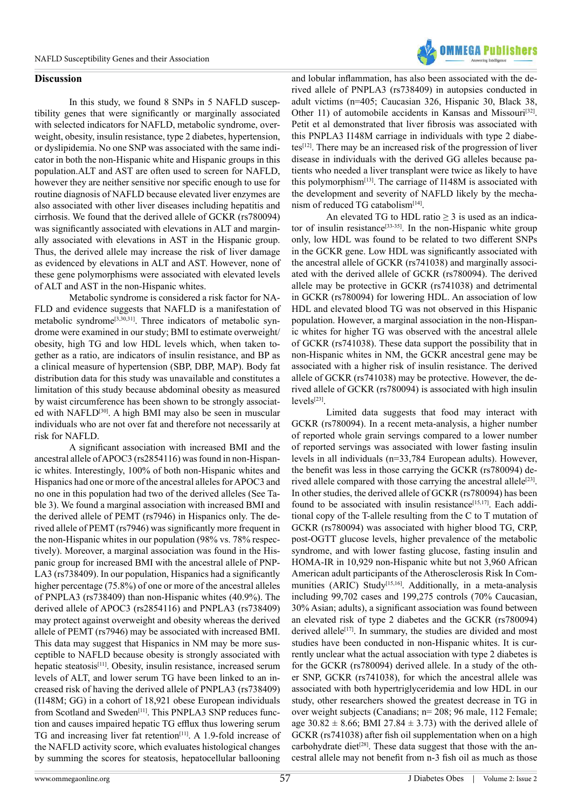

#### **Discussion**

In this study, we found 8 SNPs in 5 NAFLD susceptibility genes that were significantly or marginally associated with selected indicators for NAFLD, metabolic syndrome, overweight, obesity, insulin resistance, type 2 diabetes, hypertension, or dyslipidemia. No one SNP was associated with the same indicator in both the non-Hispanic white and Hispanic groups in this population.ALT and AST are often used to screen for NAFLD, however they are neither sensitive nor specific enough to use for routine diagnosis of NAFLD because elevated liver enzymes are also associated with other liver diseases including hepatitis and cirrhosis. We found that the derived allele of GCKR (rs780094) was significantly associated with elevations in ALT and marginally associated with elevations in AST in the Hispanic group. Thus, the derived allele may increase the risk of liver damage as evidenced by elevations in ALT and AST. However, none of these gene polymorphisms were associated with elevated levels of ALT and AST in the non-Hispanic whites.

Metabolic syndrome is considered a risk factor for NA-FLD and evidence suggests that NAFLD is a manifestation of metabolic syndrome<sup>[3,30,31]</sup>. Three indicators of metabolic syndrome were examined in our study; BMI to estimate overweight/ obesity, high TG and low HDL levels which, when taken together as a ratio, are indicators of insulin resistance, and BP as a clinical measure of hypertension (SBP, DBP, MAP). Body fat distribution data for this study was unavailable and constitutes a limitation of this study because abdominal obesity as measured by waist circumference has been shown to be strongly associated with NAFLD[\[30\].](#page-11-13) A high BMI may also be seen in muscular individuals who are not over fat and therefore not necessarily at risk for NAFLD.

A significant association with increased BMI and the ancestral allele of APOC3 (rs2854116) was found in non-Hispanic whites. Interestingly, 100% of both non-Hispanic whites and Hispanics had one or more of the ancestral alleles for APOC3 and no one in this population had two of the derived alleles (See Table 3). We found a marginal association with increased BMI and the derived allele of PEMT (rs7946) in Hispanics only. The derived allele of PEMT (rs7946) was significantly more frequent in the non-Hispanic whites in our population (98% vs. 78% respectively). Moreover, a marginal association was found in the Hispanic group for increased BMI with the ancestral allele of PNP-LA3 (rs738409). In our population, Hispanics had a significantly higher percentage (75.8%) of one or more of the ancestral alleles of PNPLA3 (rs738409) than non-Hispanic whites (40.9%). The derived allele of APOC3 (rs2854116) and PNPLA3 (rs738409) may protect against overweight and obesity whereas the derived allele of PEMT (rs7946) may be associated with increased BMI. This data may suggest that Hispanics in NM may be more susceptible to NAFLD because obesity is strongly associated with hepatic steatosis<sup>[\[11\]](#page-11-7)</sup>. Obesity, insulin resistance, increased serum levels of ALT, and lower serum TG have been linked to an increased risk of having the derived allele of PNPLA3 (rs738409) (I148M; GG) in a cohort of 18,921 obese European individuals from Scotland and Sweden<sup>[\[11\]](#page-11-7)</sup>. This PNPLA3 SNP reduces function and causes impaired hepatic TG efflux thus lowering serum TG and increasing liver fat retention<sup>[\[11\]](#page-11-7)</sup>. A 1.9-fold increase of the NAFLD activity score, which evaluates histological changes by summing the scores for steatosis, hepatocellular ballooning

and lobular inflammation, has also been associated with the derived allele of PNPLA3 (rs738409) in autopsies conducted in adult victims (n=405; Caucasian 326, Hispanic 30, Black 38, Other 11) of automobile accidents in Kansas and Missouri<sup>[32]</sup>. Petit et al demonstrated that liver fibrosis was associated with this PNPLA3 I148M carriage in individuals with type 2 diabetes[\[12\]](#page-11-16). There may be an increased risk of the progression of liver disease in individuals with the derived GG alleles because patients who needed a liver transplant were twice as likely to have this polymorphism $[13]$ . The carriage of I148M is associated with the development and severity of NAFLD likely by the mecha-nism of reduced TG catabolism<sup>[\[14\]](#page-11-8)</sup>.

An elevated TG to HDL ratio  $>$  3 is used as an indica-tor of insulin resistance<sup>[\[33-35\]](#page-11-18)</sup>. In the non-Hispanic white group only, low HDL was found to be related to two different SNPs in the GCKR gene. Low HDL was significantly associated with the ancestral allele of GCKR (rs741038) and marginally associated with the derived allele of GCKR (rs780094). The derived allele may be protective in GCKR (rs741038) and detrimental in GCKR (rs780094) for lowering HDL. An association of low HDL and elevated blood TG was not observed in this Hispanic population. However, a marginal association in the non-Hispanic whites for higher TG was observed with the ancestral allele of GCKR (rs741038). These data support the possibility that in non-Hispanic whites in NM, the GCKR ancestral gene may be associated with a higher risk of insulin resistance. The derived allele of GCKR (rs741038) may be protective. However, the derived allele of GCKR (rs780094) is associated with high insulin levels[\[23\].](#page-11-19)

Limited data suggests that food may interact with GCKR (rs780094). In a recent meta-analysis, a higher number of reported whole grain servings compared to a lower number of reported servings was associated with lower fasting insulin levels in all individuals (n=33,784 European adults). However, the benefit was less in those carrying the GCKR (rs780094) derived allele compared with those carrying the ancestral allele<sup>[23]</sup>. In other studies, the derived allele of GCKR (rs780094) has been found to be associated with insulin resistance<sup>[15,17]</sup>. Each additional copy of the T-allele resulting from the C to T mutation of GCKR (rs780094) was associated with higher blood TG, CRP, post-OGTT glucose levels, higher prevalence of the metabolic syndrome, and with lower fasting glucose, fasting insulin and HOMA-IR in 10,929 non-Hispanic white but not 3,960 African American adult participants of the Atherosclerosis Risk In Communities (ARIC) Study<sup>[15,16]</sup>. Additionally, in a meta-analysis including 99,702 cases and 199,275 controls (70% Caucasian, 30% Asian; adults), a significant association was found between an elevated risk of type 2 diabetes and the GCKR (rs780094) derived allele<sup>[17]</sup>. In summary, the studies are divided and most studies have been conducted in non-Hispanic whites. It is currently unclear what the actual association with type 2 diabetes is for the GCKR (rs780094) derived allele. In a study of the other SNP, GCKR (rs741038), for which the ancestral allele was associated with both hypertriglyceridemia and low HDL in our study, other researchers showed the greatest decrease in TG in over weight subjects (Canadians; n= 208; 96 male, 112 Female; age  $30.82 \pm 8.66$ ; BMI 27.84  $\pm$  3.73) with the derived allele of GCKR (rs741038) after fish oil supplementation when on a high carbohydrate diet<sup>[28]</sup>. These data suggest that those with the ancestral allele may not benefit from n-3 fish oil as much as those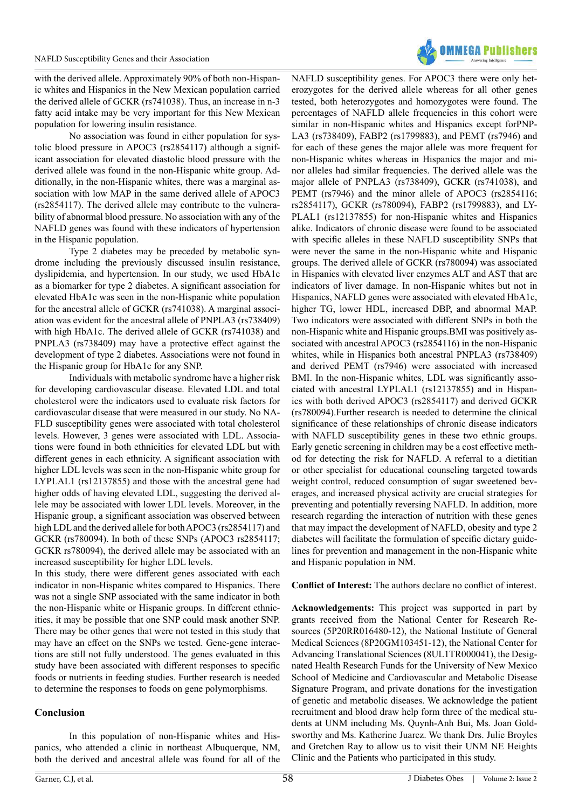with the derived allele. Approximately 90% of both non-Hispanic whites and Hispanics in the New Mexican population carried the derived allele of GCKR (rs741038). Thus, an increase in n-3 fatty acid intake may be very important for this New Mexican population for lowering insulin resistance.

No association was found in either population for systolic blood pressure in APOC3 (rs2854117) although a significant association for elevated diastolic blood pressure with the derived allele was found in the non-Hispanic white group. Additionally, in the non-Hispanic whites, there was a marginal association with low MAP in the same derived allele of APOC3 (rs2854117). The derived allele may contribute to the vulnerability of abnormal blood pressure. No association with any of the NAFLD genes was found with these indicators of hypertension in the Hispanic population.

Type 2 diabetes may be preceded by metabolic syndrome including the previously discussed insulin resistance, dyslipidemia, and hypertension. In our study, we used HbA1c as a biomarker for type 2 diabetes. A significant association for elevated HbA1c was seen in the non-Hispanic white population for the ancestral allele of GCKR (rs741038). A marginal association was evident for the ancestral allele of PNPLA3 (rs738409) with high HbA1c. The derived allele of GCKR (rs741038) and PNPLA3 (rs738409) may have a protective effect against the development of type 2 diabetes. Associations were not found in the Hispanic group for HbA1c for any SNP.

Individuals with metabolic syndrome have a higher risk for developing cardiovascular disease. Elevated LDL and total cholesterol were the indicators used to evaluate risk factors for cardiovascular disease that were measured in our study. No NA-FLD susceptibility genes were associated with total cholesterol levels. However, 3 genes were associated with LDL. Associations were found in both ethnicities for elevated LDL but with different genes in each ethnicity. A significant association with higher LDL levels was seen in the non-Hispanic white group for LYPLAL1 (rs12137855) and those with the ancestral gene had higher odds of having elevated LDL, suggesting the derived allele may be associated with lower LDL levels. Moreover, in the Hispanic group, a significant association was observed between high LDL and the derived allele for both APOC3 (rs2854117) and GCKR (rs780094). In both of these SNPs (APOC3 rs2854117; GCKR rs780094), the derived allele may be associated with an increased susceptibility for higher LDL levels.

In this study, there were different genes associated with each indicator in non-Hispanic whites compared to Hispanics. There was not a single SNP associated with the same indicator in both the non-Hispanic white or Hispanic groups. In different ethnicities, it may be possible that one SNP could mask another SNP. There may be other genes that were not tested in this study that may have an effect on the SNPs we tested. Gene-gene interactions are still not fully understood. The genes evaluated in this study have been associated with different responses to specific foods or nutrients in feeding studies. Further research is needed to determine the responses to foods on gene polymorphisms.

# **Conclusion**

In this population of non-Hispanic whites and Hispanics, who attended a clinic in northeast Albuquerque, NM, both the derived and ancestral allele was found for all of the



NAFLD susceptibility genes. For APOC3 there were only heterozygotes for the derived allele whereas for all other genes tested, both heterozygotes and homozygotes were found. The percentages of NAFLD allele frequencies in this cohort were similar in non-Hispanic whites and Hispanics except forPNP-LA3 (rs738409), FABP2 (rs1799883), and PEMT (rs7946) and for each of these genes the major allele was more frequent for non-Hispanic whites whereas in Hispanics the major and minor alleles had similar frequencies. The derived allele was the major allele of PNPLA3 (rs738409), GCKR (rs741038), and PEMT (rs7946) and the minor allele of APOC3 (rs2854116; rs2854117), GCKR (rs780094), FABP2 (rs1799883), and LY-PLAL1 (rs12137855) for non-Hispanic whites and Hispanics alike. Indicators of chronic disease were found to be associated with specific alleles in these NAFLD susceptibility SNPs that were never the same in the non-Hispanic white and Hispanic groups. The derived allele of GCKR (rs780094) was associated in Hispanics with elevated liver enzymes ALT and AST that are indicators of liver damage. In non-Hispanic whites but not in Hispanics, NAFLD genes were associated with elevated HbA1c, higher TG, lower HDL, increased DBP, and abnormal MAP. Two indicators were associated with different SNPs in both the non-Hispanic white and Hispanic groups.BMI was positively associated with ancestral APOC3 (rs2854116) in the non-Hispanic whites, while in Hispanics both ancestral PNPLA3 (rs738409) and derived PEMT (rs7946) were associated with increased BMI. In the non-Hispanic whites, LDL was significantly associated with ancestral LYPLAL1 (rs12137855) and in Hispanics with both derived APOC3 (rs2854117) and derived GCKR (rs780094).Further research is needed to determine the clinical significance of these relationships of chronic disease indicators with NAFLD susceptibility genes in these two ethnic groups. Early genetic screening in children may be a cost effective method for detecting the risk for NAFLD. A referral to a dietitian or other specialist for educational counseling targeted towards weight control, reduced consumption of sugar sweetened beverages, and increased physical activity are crucial strategies for preventing and potentially reversing NAFLD. In addition, more research regarding the interaction of nutrition with these genes that may impact the development of NAFLD, obesity and type 2 diabetes will facilitate the formulation of specific dietary guidelines for prevention and management in the non-Hispanic white and Hispanic population in NM.

**Conflict of Interest:** The authors declare no conflict of interest.

**Acknowledgements:** This project was supported in part by grants received from the National Center for Research Resources (5P20RR016480-12), the National Institute of General Medical Sciences (8P20GM103451-12), the National Center for Advancing Translational Sciences (8UL1TR000041), the Designated Health Research Funds for the University of New Mexico School of Medicine and Cardiovascular and Metabolic Disease Signature Program, and private donations for the investigation of genetic and metabolic diseases. We acknowledge the patient recruitment and blood draw help form three of the medical students at UNM including Ms. Quynh-Anh Bui, Ms. Joan Goldsworthy and Ms. Katherine Juarez. We thank Drs. Julie Broyles and Gretchen Ray to allow us to visit their UNM NE Heights Clinic and the Patients who participated in this study.